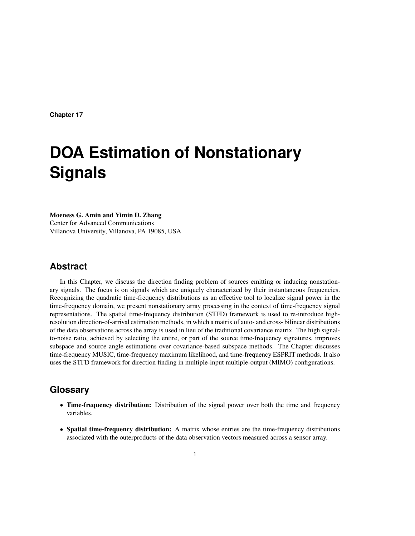# **DOA Estimation of Nonstationary Signals**

Moeness G. Amin and Yimin D. Zhang Center for Advanced Communications Villanova University, Villanova, PA 19085, USA

## **Abstract**

In this Chapter, we discuss the direction finding problem of sources emitting or inducing nonstationary signals. The focus is on signals which are uniquely characterized by their instantaneous frequencies. Recognizing the quadratic time-frequency distributions as an effective tool to localize signal power in the time-frequency domain, we present nonstationary array processing in the context of time-frequency signal representations. The spatial time-frequency distribution (STFD) framework is used to re-introduce highresolution direction-of-arrival estimation methods, in which a matrix of auto- and cross- bilinear distributions of the data observations across the array is used in lieu of the traditional covariance matrix. The high signalto-noise ratio, achieved by selecting the entire, or part of the source time-frequency signatures, improves subspace and source angle estimations over covariance-based subspace methods. The Chapter discusses time-frequency MUSIC, time-frequency maximum likelihood, and time-frequency ESPRIT methods. It also uses the STFD framework for direction finding in multiple-input multiple-output (MIMO) configurations.

## **Glossary**

- Time-frequency distribution: Distribution of the signal power over both the time and frequency variables.
- Spatial time-frequency distribution: A matrix whose entries are the time-frequency distributions associated with the outerproducts of the data observation vectors measured across a sensor array.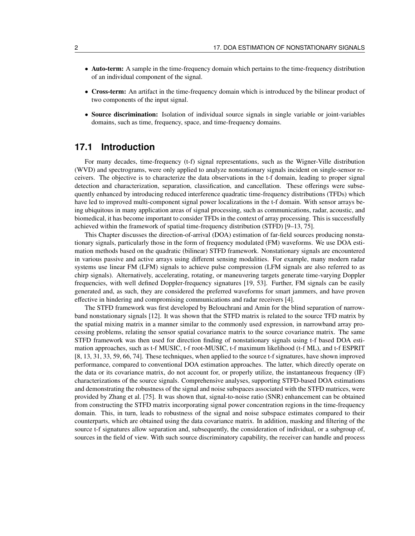- Auto-term: A sample in the time-frequency domain which pertains to the time-frequency distribution of an individual component of the signal.
- Cross-term: An artifact in the time-frequency domain which is introduced by the bilinear product of two components of the input signal.
- Source discrimination: Isolation of individual source signals in single variable or joint-variables domains, such as time, frequency, space, and time-frequency domains.

## **17.1 Introduction**

For many decades, time-frequency (t-f) signal representations, such as the Wigner-Ville distribution (WVD) and spectrograms, were only applied to analyze nonstationary signals incident on single-sensor receivers. The objective is to characterize the data observations in the t-f domain, leading to proper signal detection and characterization, separation, classification, and cancellation. These offerings were subsequently enhanced by introducing reduced interference quadratic time-frequency distributions (TFDs) which have led to improved multi-component signal power localizations in the t-f domain. With sensor arrays being ubiquitous in many application areas of signal processing, such as communications, radar, acoustic, and biomedical, it has become important to consider TFDs in the context of array processing. This is successfully achieved within the framework of spatial time-frequency distribution (STFD) [9–13, 75].

This Chapter discusses the direction-of-arrival (DOA) estimation of far-field sources producing nonstationary signals, particularly those in the form of frequency modulated (FM) waveforms. We use DOA estimation methods based on the quadratic (bilinear) STFD framework. Nonstationary signals are encountered in various passive and active arrays using different sensing modalities. For example, many modern radar systems use linear FM (LFM) signals to achieve pulse compression (LFM signals are also referred to as chirp signals). Alternatively, accelerating, rotating, or maneuvering targets generate time-varying Doppler frequencies, with well defined Doppler-frequency signatures [19, 53]. Further, FM signals can be easily generated and, as such, they are considered the preferred waveforms for smart jammers, and have proven effective in hindering and compromising communications and radar receivers [4].

The STFD framework was first developed by Belouchrani and Amin for the blind separation of narrowband nonstationary signals [12]. It was shown that the STFD matrix is related to the source TFD matrix by the spatial mixing matrix in a manner similar to the commonly used expression, in narrowband array processing problems, relating the sensor spatial covariance matrix to the source covariance matrix. The same STFD framework was then used for direction finding of nonstationary signals using t-f based DOA estimation approaches, such as t-f MUSIC, t-f root-MUSIC, t-f maximum likelihood (t-f ML), and t-f ESPRIT [8, 13, 31, 33, 59, 66, 74]. These techniques, when applied to the source t-f signatures, have shown improved performance, compared to conventional DOA estimation approaches. The latter, which directly operate on the data or its covariance matrix, do not account for, or properly utilize, the instantaneous frequency (IF) characterizations of the source signals. Comprehensive analyses, supporting STFD-based DOA estimations and demonstrating the robustness of the signal and noise subspaces associated with the STFD matrices, were provided by Zhang et al. [75]. It was shown that, signal-to-noise ratio (SNR) enhancement can be obtained from constructing the STFD matrix incorporating signal power concentration regions in the time-frequency domain. This, in turn, leads to robustness of the signal and noise subspace estimates compared to their counterparts, which are obtained using the data covariance matrix. In addition, masking and filtering of the source t-f signatures allow separation and, subsequently, the consideration of individual, or a subgroup of, sources in the field of view. With such source discriminatory capability, the receiver can handle and process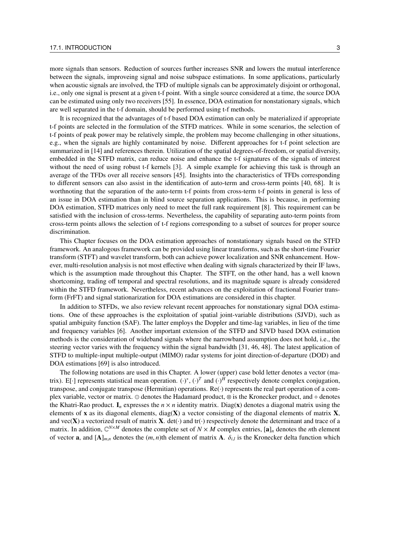more signals than sensors. Reduction of sources further increases SNR and lowers the mutual interference between the signals, improveing signal and noise subspace estimations. In some applications, particularly when acoustic signals are involved, the TFD of multiple signals can be approximately disjoint or orthogonal, i.e., only one signal is present at a given t-f point. With a single source considered at a time, the source DOA can be estimated using only two receivers [55]. In essence, DOA estimation for nonstationary signals, which are well separated in the t-f domain, should be performed using t-f methods.

It is recognized that the advantages of t-f based DOA estimation can only be materialized if appropriate t-f points are selected in the formulation of the STFD matrices. While in some scenarios, the selection of t-f points of peak power may be relatively simple, the problem may become challenging in other situations, e.g., when the signals are highly contaminated by noise. Different approaches for t-f point selection are summarized in [14] and references therein. Utilization of the spatial degrees-of-freedom, or spatial diversity, embedded in the STFD matrix, can reduce noise and enhance the t-f signatures of the signals of interest without the need of using robust t-f kernels [3]. A simple example for achieving this task is through an average of the TFDs over all receive sensors [45]. Insights into the characteristics of TFDs corresponding to different sensors can also assist in the identification of auto-term and cross-term points [40, 68]. It is worthnoting that the separation of the auto-term t-f points from cross-term t-f points in general is less of an issue in DOA estimation than in blind source separation applications. This is because, in performing DOA estimation, STFD matrices only need to meet the full rank requirement [8]. This requirement can be satisfied with the inclusion of cross-terms. Nevertheless, the capability of separating auto-term points from cross-term points allows the selection of t-f regions corresponding to a subset of sources for proper source discrimination.

This Chapter focuses on the DOA estimation approaches of nonstationary signals based on the STFD framework. An analogous framework can be provided using linear transforms, such as the short-time Fourier transform (STFT) and wavelet transform, both can achieve power localization and SNR enhancement. However, multi-resolution analysis is not most effective when dealing with signals characterized by their IF laws, which is the assumption made throughout this Chapter. The STFT, on the other hand, has a well known shortcoming, trading off temporal and spectral resolutions, and its magnitude square is already considered within the STFD framework. Nevertheless, recent advances on the exploitation of fractional Fourier transform (FrFT) and signal stationarization for DOA estimations are considered in this chapter.

In addition to STFDs, we also review relevant recent approaches for nonstationary signal DOA estimations. One of these approaches is the exploitation of spatial joint-variable distributions (SJVD), such as spatial ambiguity function (SAF). The latter employs the Doppler and time-lag variables, in lieu of the time and frequency variables [6]. Another important extension of the STFD and SJVD based DOA estimation methods is the consideration of wideband signals where the narrowband assumption does not hold, i.e., the steering vector varies with the frequency within the signal bandwidth [31, 46, 48]. The latest application of STFD to multiple-input multiple-output (MIMO) radar systems for joint direction-of-departure (DOD) and DOA estimations [69] is also introduced.

The following notations are used in this Chapter. A lower (upper) case bold letter denotes a vector (matrix). E[ $\cdot$ ] represents statistical mean operation.  $(\cdot)^*$ ,  $(\cdot)^T$  and  $(\cdot)^H$  respectively denote complex conjugation, transpose, and conjugate transpose (Hermitian) operations. Re(·) represents the real part operation of a complex variable, vector or matrix. ⊙ denotes the Hadamard product, ⊗ is the Kronecker product, and ⋄ denotes the Khatri-Rao product.  $I_n$  expresses the  $n \times n$  identity matrix. Diag(x) denotes a diagonal matrix using the elements of x as its diagonal elements, diag( $X$ ) a vector consisting of the diagonal elements of matrix  $X$ , and vec(X) a vectorized result of matrix X. det( $\cdot$ ) and tr( $\cdot$ ) respectively denote the determinant and trace of a matrix. In addition,  $\mathbb{C}^{N \times M}$  denotes the complete set of  $N \times M$  complex entries,  $[\mathbf{a}]_n$  denotes the *n*th element of vector **a**, and  $[A]_{m,n}$  denotes the  $(m, n)$ th element of matrix A.  $\delta_{i,l}$  is the Kronecker delta function which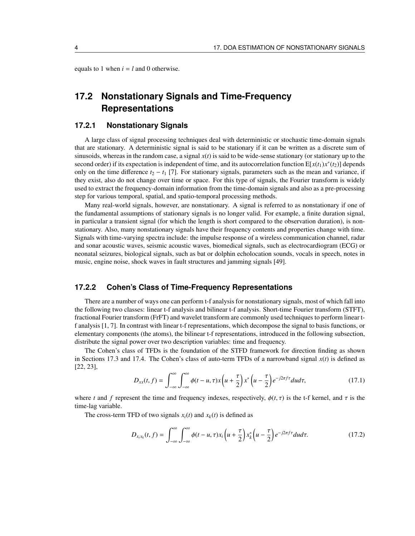equals to 1 when  $i = l$  and 0 otherwise.

# **17.2 Nonstationary Signals and Time-Frequency Representations**

## **17.2.1 Nonstationary Signals**

A large class of signal processing techniques deal with deterministic or stochastic time-domain signals that are stationary. A deterministic signal is said to be stationary if it can be written as a discrete sum of sinusoids, whereas in the random case, a signal  $x(t)$  is said to be wide-sense stationary (or stationary up to the second order) if its expectation is independent of time, and its autocorrelation function  $E[x(t_1)x^*(t_2)]$  depends only on the time difference  $t_2 - t_1$  [7]. For stationary signals, parameters such as the mean and variance, if they exist, also do not change over time or space. For this type of signals, the Fourier transform is widely used to extract the frequency-domain information from the time-domain signals and also as a pre-processing step for various temporal, spatial, and spatio-temporal processing methods.

Many real-world signals, however, are nonstationary. A signal is referred to as nonstationary if one of the fundamental assumptions of stationary signals is no longer valid. For example, a finite duration signal, in particular a transient signal (for which the length is short compared to the observation duration), is nonstationary. Also, many nonstationary signals have their frequency contents and properties change with time. Signals with time-varying spectra include: the impulse response of a wireless communication channel, radar and sonar acoustic waves, seismic acoustic waves, biomedical signals, such as electrocardiogram (ECG) or neonatal seizures, biological signals, such as bat or dolphin echolocation sounds, vocals in speech, notes in music, engine noise, shock waves in fault structures and jamming signals [49].

### **17.2.2 Cohen's Class of Time-Frequency Representations**

There are a number of ways one can perform t-f analysis for nonstationary signals, most of which fall into the following two classes: linear t-f analysis and bilinear t-f analysis. Short-time Fourier transform (STFT), fractional Fourier transform (FrFT) and wavelet transform are commonly used techniques to perform linear tf analysis [1, 7]. In contrast with linear t-f representations, which decompose the signal to basis functions, or elementary components (the atoms), the bilinear t-f representations, introduced in the following subsection, distribute the signal power over two description variables: time and frequency.

The Cohen's class of TFDs is the foundation of the STFD framework for direction finding as shown in Sections 17.3 and 17.4. The Cohen's class of auto-term TFDs of a narrowband signal *x*(*t*) is defined as [22, 23],

$$
D_{xx}(t,f) = \int_{-\infty}^{\infty} \int_{-\infty}^{\infty} \phi(t-u,\tau)x \left(u+\frac{\tau}{2}\right)x^* \left(u-\frac{\tau}{2}\right) e^{-j2\pi f\tau} du d\tau, \tag{17.1}
$$

where *t* and *f* represent the time and frequency indexes, respectively,  $\phi(t, \tau)$  is the t-f kernel, and  $\tau$  is the time-lag variable.

The cross-term TFD of two signals  $x_i(t)$  and  $x_k(t)$  is defined as

$$
D_{x_i x_k}(t, f) = \int_{-\infty}^{\infty} \int_{-\infty}^{\infty} \phi(t - u, \tau) x_i \left( u + \frac{\tau}{2} \right) x_k^* \left( u - \frac{\tau}{2} \right) e^{-j2\pi f \tau} du d\tau.
$$
 (17.2)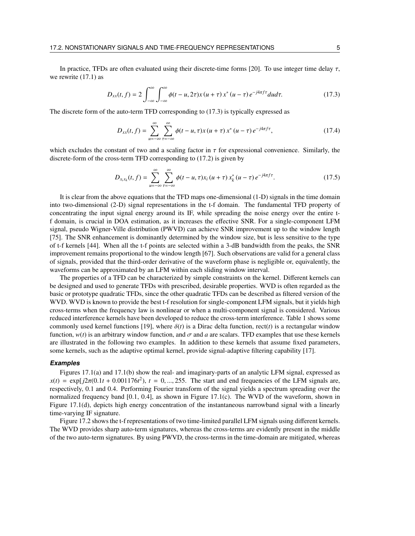In practice, TFDs are often evaluated using their discrete-time forms [20]. To use integer time delay  $\tau$ , we rewrite (17.1) as

$$
D_{xx}(t,f) = 2\int_{-\infty}^{\infty} \int_{-\infty}^{\infty} \phi(t-u,2\tau)x(u+\tau)x^*(u-\tau)e^{-j4\pi f\tau}dud\tau.
$$
 (17.3)

The discrete form of the auto-term TFD corresponding to (17.3) is typically expressed as

$$
D_{xx}(t,f) = \sum_{u=-\infty}^{\infty} \sum_{\tau=-\infty}^{\infty} \phi(t-u,\tau)x(u+\tau)x^*(u-\tau)e^{-j4\pi f\tau},
$$
\n(17.4)

which excludes the constant of two and a scaling factor in  $\tau$  for expressional convenience. Similarly, the discrete-form of the cross-term TFD corresponding to (17.2) is given by

$$
D_{x_i x_k}(t, f) = \sum_{u = -\infty}^{\infty} \sum_{\tau = -\infty}^{\infty} \phi(t - u, \tau) x_i (u + \tau) x_k^* (u - \tau) e^{-j4\pi f \tau}.
$$
 (17.5)

It is clear from the above equations that the TFD maps one-dimensional (1-D) signals in the time domain into two-dimensional (2-D) signal representations in the t-f domain. The fundamental TFD property of concentrating the input signal energy around its IF, while spreading the noise energy over the entire tf domain, is crucial in DOA estimation, as it increases the effective SNR. For a single-component LFM signal, pseudo Wigner-Ville distribution (PWVD) can achieve SNR improvement up to the window length [75]. The SNR enhancement is dominantly determined by the window size, but is less sensitive to the type of t-f kernels [44]. When all the t-f points are selected within a 3-dB bandwidth from the peaks, the SNR improvement remains proportional to the window length [67]. Such observations are valid for a general class of signals, provided that the third-order derivative of the waveform phase is negligible or, equivalently, the waveforms can be approximated by an LFM within each sliding window interval.

The properties of a TFD can be characterized by simple constraints on the kernel. Different kernels can be designed and used to generate TFDs with prescribed, desirable properties. WVD is often regarded as the basic or prototype quadratic TFDs, since the other quadratic TFDs can be described as filtered version of the WVD. WVD is known to provide the best t-f resolution for single-component LFM signals, but it yields high cross-terms when the frequency law is nonlinear or when a multi-component signal is considered. Various reduced interference kernels have been developed to reduce the cross-term interference. Table 1 shows some commonly used kernel functions [19], where  $\delta(t)$  is a Dirac delta function, rect(*t*) is a rectangular window function,  $w(t)$  is an arbitrary window function, and  $\sigma$  and a are scalars. TFD examples that use these kernels are illustrated in the following two examples. In addition to these kernels that assume fixed parameters, some kernels, such as the adaptive optimal kernel, provide signal-adaptive filtering capability [17].

#### **Examples**

Figures 17.1(a) and 17.1(b) show the real- and imaginary-parts of an analytic LFM signal, expressed as  $x(t) = \exp[j2\pi(0.1t + 0.001176t^2)]$ ,  $t = 0, ..., 255$ . The start and end frequencies of the LFM signals are, respectively, 0.1 and 0.4. Performing Fourier transform of the signal yields a spectrum spreading over the normalized frequency band [0.1, 0.4], as shown in Figure 17.1(c). The WVD of the waveform, shown in Figure 17.1(d), depicts high energy concentration of the instantaneous narrowband signal with a linearly time-varying IF signature.

Figure 17.2 shows the t-f representations of two time-limited parallel LFM signals using different kernels. The WVD provides sharp auto-term signatures, whereas the cross-terms are evidently present in the middle of the two auto-term signatures. By using PWVD, the cross-terms in the time-domain are mitigated, whereas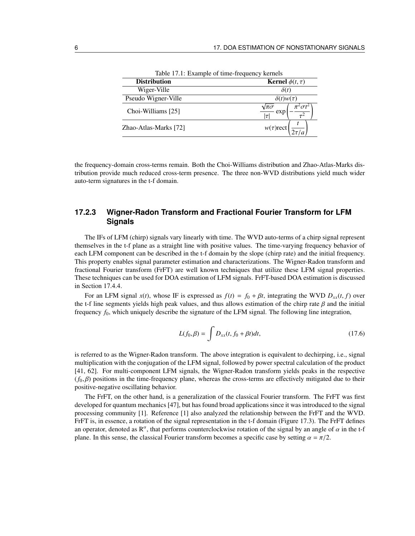| Table 17.1. Example of thre-requency kerners |                                                  |
|----------------------------------------------|--------------------------------------------------|
| <b>Distribution</b>                          | <b>Kernel</b> $\phi(t, \tau)$                    |
| Wiger-Ville                                  | $\delta(t)$                                      |
| Pseudo Wigner-Ville                          | $\delta(t)w(\tau)$                               |
| Choi-Williams [25]                           | $\pi^2 \sigma t^2$<br>$\sqrt{\pi} \sigma$<br>exp |
| Zhao-Atlas-Marks [72]                        | $w(\tau)$ rect                                   |

Table 17.1: Example of time-frequency kernels

the frequency-domain cross-terms remain. Both the Choi-Williams distribution and Zhao-Atlas-Marks distribution provide much reduced cross-term presence. The three non-WVD distributions yield much wider auto-term signatures in the t-f domain.

## **17.2.3 Wigner-Radon Transform and Fractional Fourier Transform for LFM Signals**

The IFs of LFM (chirp) signals vary linearly with time. The WVD auto-terms of a chirp signal represent themselves in the t-f plane as a straight line with positive values. The time-varying frequency behavior of each LFM component can be described in the t-f domain by the slope (chirp rate) and the initial frequency. This property enables signal parameter estimation and characterizations. The Wigner-Radon transform and fractional Fourier transform (FrFT) are well known techniques that utilize these LFM signal properties. These techniques can be used for DOA estimation of LFM signals. FrFT-based DOA estimation is discussed in Section 17.4.4.

For an LFM signal  $x(t)$ , whose IF is expressed as  $f(t) = f_0 + \beta t$ , integrating the WVD  $D_{xx}(t, f)$  over the t-f line segments yields high peak values, and thus allows estimation of the chirp rate  $\beta$  and the initial frequency *f*0, which uniquely describe the signature of the LFM signal. The following line integration,

$$
L(f_0, \beta) = \int D_{xx}(t, f_0 + \beta t)dt,
$$
\n(17.6)

is referred to as the Wigner-Radon transform. The above integration is equivalent to dechirping, i.e., signal multiplication with the conjugation of the LFM signal, followed by power spectral calculation of the product [41, 62]. For multi-component LFM signals, the Wigner-Radon transform yields peaks in the respective  $(f_0, \beta)$  positions in the time-frequency plane, whereas the cross-terms are effectively mitigated due to their positive-negative oscillating behavior.

The FrFT, on the other hand, is a generalization of the classical Fourier transform. The FrFT was first developed for quantum mechanics [47], but has found broad applications since it was introduced to the signal processing community [1]. Reference [1] also analyzed the relationship between the FrFT and the WVD. FrFT is, in essence, a rotation of the signal representation in the t-f domain (Figure 17.3). The FrFT defines an operator, denoted as  $\mathbb{R}^{\alpha}$ , that performs counterclockwise rotation of the signal by an angle of  $\alpha$  in the t-f plane. In this sense, the classical Fourier transform becomes a specific case by setting  $\alpha = \pi/2$ .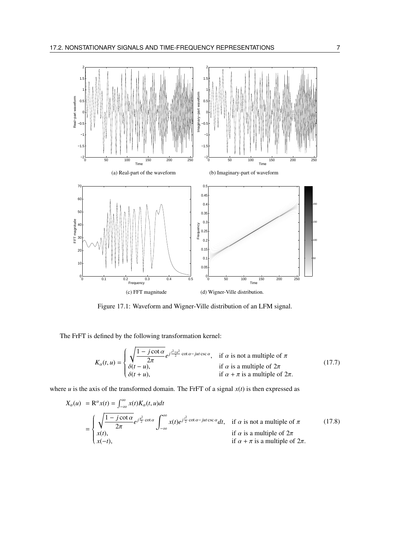

Figure 17.1: Waveform and Wigner-Ville distribution of an LFM signal.

The FrFT is defined by the following transformation kernel:

$$
K_{\alpha}(t, u) = \begin{cases} \sqrt{\frac{1 - j \cot \alpha}{2\pi}} e^{j\frac{t^2 + u^2}{2} \cot \alpha - jut \csc \alpha}, & \text{if } \alpha \text{ is not a multiple of } \pi \\ \delta(t - u), & \text{if } \alpha \text{ is a multiple of } 2\pi \\ \delta(t + u), & \text{if } \alpha + \pi \text{ is a multiple of } 2\pi. \end{cases}
$$
(17.7)

where  $u$  is the axis of the transformed domain. The FrFT of a signal  $x(t)$  is then expressed as

$$
X_{\alpha}(u) = \mathbf{R}^{\alpha} x(t) = \int_{-\infty}^{\infty} x(t) K_{\alpha}(t, u) dt
$$
  
\n
$$
= \begin{cases} \sqrt{\frac{1 - j \cot \alpha}{2\pi}} e^{j\frac{u^2}{2} \cot \alpha} \int_{-\infty}^{\infty} x(t) e^{j\frac{t^2}{2} \cot \alpha - jut \csc \alpha} dt, & \text{if } \alpha \text{ is not a multiple of } \pi \\ x(t), & \text{if } \alpha \text{ is a multiple of } 2\pi \\ x(-t), & \text{if } \alpha + \pi \text{ is a multiple of } 2\pi. \end{cases}
$$
(17.8)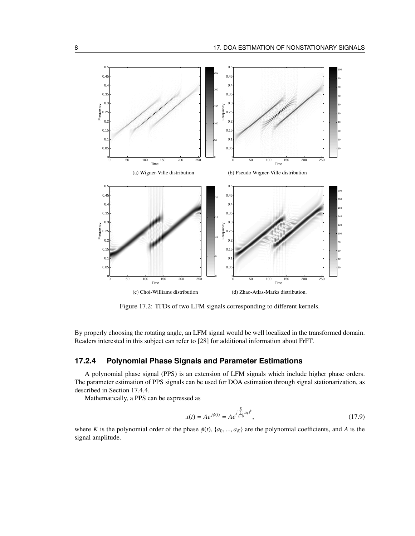

Figure 17.2: TFDs of two LFM signals corresponding to different kernels.

By properly choosing the rotating angle, an LFM signal would be well localized in the transformed domain. Readers interested in this subject can refer to [28] for additional information about FrFT.

## **17.2.4 Polynomial Phase Signals and Parameter Estimations**

A polynomial phase signal (PPS) is an extension of LFM signals which include higher phase orders. The parameter estimation of PPS signals can be used for DOA estimation through signal stationarization, as described in Section 17.4.4.

Mathematically, a PPS can be expressed as

$$
x(t) = Ae^{j\phi(t)} = Ae^{\int_{k=0}^{K} \sum_{k=0}^{R} a_k t^k},
$$
\n(17.9)

where *K* is the polynomial order of the phase  $\phi(t)$ ,  $\{a_0, ..., a_K\}$  are the polynomial coefficients, and *A* is the signal amplitude.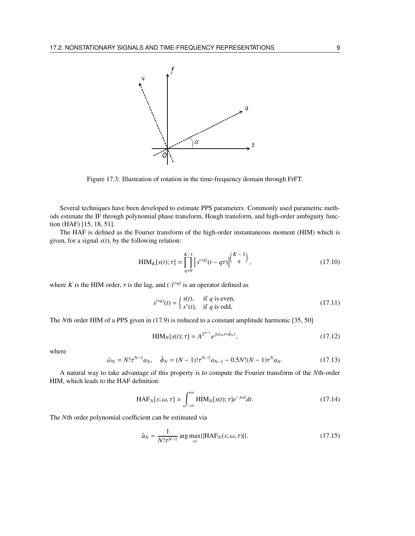

Figure 17.3: Illustration of rotation in the time-frequency domain through FrFT.

Several techniques have been developed to estimate PPS parameters. Commonly used parametric methods estimate the IF through polynomial phase transform, Hough transform, and high-order ambiguity function (HAF) [15, 18, 51].

The HAF is defined as the Fourier transform of the high-order instantaneous moment (HIM) which is given, for a signal *s*(*t*), by the following relation:

$$
\text{HIM}_K[s(t); \tau] = \prod_{q=0}^{K-1} \left[ s^{(*q)}(t - q\tau) \right]^{K-1}, \tag{17.10}
$$

where *K* is the HIM order,  $\tau$  is the lag, and  $(\cdot)^{(*q)}$  is an operator defined as

$$
s^{(*q)}(t) = \begin{cases} s(t), & \text{if } q \text{ is even,} \\ s^*(t), & \text{if } q \text{ is odd,} \end{cases}
$$
(17.11)

The *N*th order HIM of a PPS given in (17.9) is reduced to a constant amplitude harmonic [35, 50]

$$
HIM_N[s(t); \tau] = A^{2^{N-1}} e^{j(\tilde{\omega}_N t + \tilde{\phi}_N)}, \qquad (17.12)
$$

where

$$
\tilde{\omega}_N = N! \tau^{N-1} a_N, \quad \tilde{\phi}_N = (N-1)! \tau^{N-1} a_{N-1} - 0.5 N! (N-1) \tau^N a_N. \tag{17.13}
$$

A natural way to take advantage of this property is to compute the Fourier transform of the *N*th-order HIM, which leads to the HAF definition:

$$
\text{HAF}_N[s; \omega, \tau] = \int_{-\infty}^{\infty} \text{HIM}_N[s(t); \tau] e^{-j\omega t} dt. \tag{17.14}
$$

The *N*th order polynomial coefficient can be estimated via

$$
\hat{a}_N = \frac{1}{N! \tau^{N-1}} \arg \max_{\omega} \{ [\text{HAF}_N(s; \omega, \tau)] \}. \tag{17.15}
$$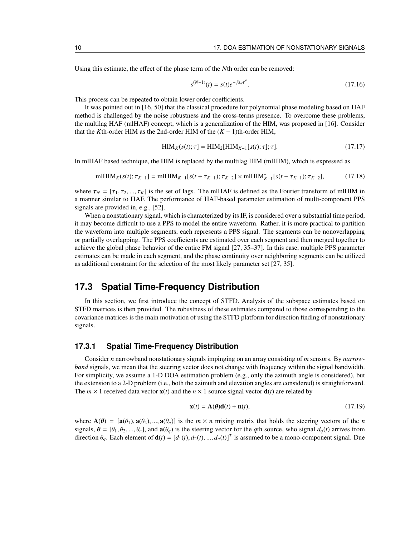Using this estimate, the effect of the phase term of the *N*th order can be removed:

$$
s^{(N-1)}(t) = s(t)e^{-j\hat{a}_N t^N}.\tag{17.16}
$$

This process can be repeated to obtain lower order coefficients.

It was pointed out in [16, 50] that the classical procedure for polynomial phase modeling based on HAF method is challenged by the noise robustness and the cross-terms presence. To overcome these problems, the multilag HAF (mlHAF) concept, which is a generalization of the HIM, was proposed in [16]. Consider that the *K*th-order HIM as the 2nd-order HIM of the  $(K - 1)$ th-order HIM,

$$
HIMK(s(t); \tau] = HIM2[HIMK-1[s(t); \tau]; \tau].
$$
\n(17.17)

In mlHAF based technique, the HIM is replaced by the multilag HIM (mlHIM), which is expressed as

$$
\text{mlHIM}_{K}(s(t); \tau_{K-1}] = \text{mlHIM}_{K-1}[s(t + \tau_{K-1}); \tau_{K-2}] \times \text{mlHIM}_{K-1}^{*}[s(t - \tau_{K-1}); \tau_{K-2}], \tag{17.18}
$$

where  $\tau_N = [\tau_1, \tau_2, ..., \tau_K]$  is the set of lags. The mIHAF is defined as the Fourier transform of mIHIM in a manner similar to HAF. The performance of HAF-based parameter estimation of multi-component PPS signals are provided in, e.g., [52].

When a nonstationary signal, which is characterized by its IF, is considered over a substantial time period, it may become difficult to use a PPS to model the entire waveform. Rather, it is more practical to partition the waveform into multiple segments, each represents a PPS signal. The segments can be nonoverlapping or partially overlapping. The PPS coefficients are estimated over each segment and then merged together to achieve the global phase behavior of the entire FM signal [27, 35–37]. In this case, multiple PPS parameter estimates can be made in each segment, and the phase continuity over neighboring segments can be utilized as additional constraint for the selection of the most likely parameter set [27, 35].

## **17.3 Spatial Time-Frequency Distribution**

In this section, we first introduce the concept of STFD. Analysis of the subspace estimates based on STFD matrices is then provided. The robustness of these estimates compared to those corresponding to the covariance matrices is the main motivation of using the STFD platform for direction finding of nonstationary signals.

#### **17.3.1 Spatial Time-Frequency Distribution**

Consider *n* narrowband nonstationary signals impinging on an array consisting of *m* sensors. By *narrowband* signals, we mean that the steering vector does not change with frequency within the signal bandwidth. For simplicity, we assume a 1-D DOA estimation problem (e.g., only the azimuth angle is considered), but the extension to a 2-D problem (i.e., both the azimuth and elevation angles are considered) is straightforward. The  $m \times 1$  received data vector  $\mathbf{x}(t)$  and the  $n \times 1$  source signal vector  $\mathbf{d}(t)$  are related by

$$
\mathbf{x}(t) = \mathbf{A}(\theta)\mathbf{d}(t) + \mathbf{n}(t),\tag{17.19}
$$

where  $A(\theta) = [\mathbf{a}(\theta_1), \mathbf{a}(\theta_2), ..., \mathbf{a}(\theta_n)]$  is the  $m \times n$  mixing matrix that holds the steering vectors of the *n* signals,  $\theta = [\theta_1, \theta_2, ..., \theta_n]$ , and  $\mathbf{a}(\theta_q)$  is the steering vector for the *q*th source, who signal  $d_q(t)$  arrives from direction  $\theta_q$ . Each element of  $\mathbf{d}(t) = [d_1(t), d_2(t), ..., d_n(t)]^T$  is assumed to be a mono-component signal. Due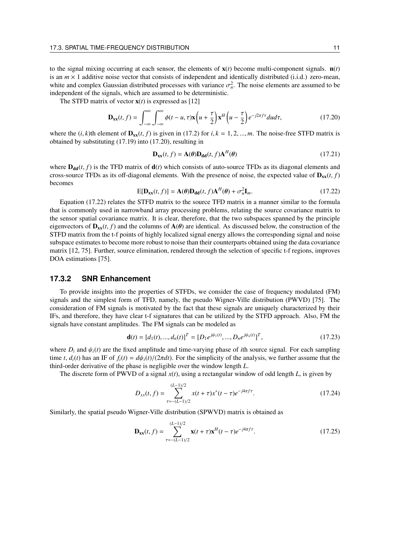to the signal mixing occurring at each sensor, the elements of  $\mathbf{x}(t)$  become multi-component signals.  $\mathbf{n}(t)$ is an  $m \times 1$  additive noise vector that consists of independent and identically distributed (i.i.d.) zero-mean, white and complex Gaussian distributed processes with variance  $\sigma_n^2$ . The noise elements are assumed to be independent of the signals, which are assumed to be deterministic.

The STFD matrix of vector  $\mathbf{x}(t)$  is expressed as [12]

$$
\mathbf{D}_{\mathbf{x}\mathbf{x}}(t,f) = \int_{-\infty}^{\infty} \int_{-\infty}^{\infty} \phi(t-u,\tau)\mathbf{x}\left(u+\frac{\tau}{2}\right) \mathbf{x}^H\left(u-\frac{\tau}{2}\right) e^{-j2\pi f\tau} du d\tau, \tag{17.20}
$$

where the  $(i, k)$ th element of  $\mathbf{D}_{\mathbf{x}}(t, f)$  is given in (17.2) for  $i, k = 1, 2, ..., m$ . The noise-free STFD matrix is obtained by substituting (17.19) into (17.20), resulting in

$$
\mathbf{D}_{\mathbf{xx}}(t,f) = \mathbf{A}(\boldsymbol{\theta}) \mathbf{D}_{\mathbf{dd}}(t,f) \mathbf{A}^H(\boldsymbol{\theta})
$$
 (17.21)

where  $D_{dd}(t, f)$  is the TFD matrix of  $d(t)$  which consists of auto-source TFDs as its diagonal elements and cross-source TFDs as its off-diagonal elements. With the presence of noise, the expected value of  $D_{xx}(t, f)$ becomes

$$
E[\mathbf{D}_{xx}(t,f)] = \mathbf{A}(\theta)\mathbf{D}_{dd}(t,f)\mathbf{A}^H(\theta) + \sigma_n^2 \mathbf{I}_m.
$$
 (17.22)

Equation (17.22) relates the STFD matrix to the source TFD matrix in a manner similar to the formula that is commonly used in narrowband array processing problems, relating the source covariance matrix to the sensor spatial covariance matrix. It is clear, therefore, that the two subspaces spanned by the principle eigenvectors of  $\mathbf{D}_{xx}(t, f)$  and the columns of  $\mathbf{A}(\theta)$  are identical. As discussed below, the construction of the STFD matrix from the t-f points of highly localized signal energy allows the corresponding signal and noise subspace estimates to become more robust to noise than their counterparts obtained using the data covariance matrix [12, 75]. Further, source elimination, rendered through the selection of specific t-f regions, improves DOA estimations [75].

#### **17.3.2 SNR Enhancement**

To provide insights into the properties of STFDs, we consider the case of frequency modulated (FM) signals and the simplest form of TFD, namely, the pseudo Wigner-Ville distribution (PWVD) [75]. The consideration of FM signals is motivated by the fact that these signals are uniquely characterized by their IFs, and therefore, they have clear t-f signatures that can be utilized by the STFD approach. Also, FM the signals have constant amplitudes. The FM signals can be modeled as

$$
\mathbf{d}(t) = [d_1(t), ..., d_n(t)]^T = [D_1 e^{j\psi_1(t)}, ..., D_n e^{j\psi_n(t)}]^T,
$$
\n(17.23)

where  $D_i$  and  $\psi_i(t)$  are the fixed amplitude and time-varying phase of *i*th source signal. For each sampling time *t*,  $d_i(t)$  has an IF of  $f_i(t) = d\psi_i(t)/(2\pi dt)$ . For the simplicity of the analysis, we further assume that the third-order derivative of the phase is negligible over the window length *L*.

The discrete form of PWVD of a signal *x*(*t*), using a rectangular window of odd length *L*, is given by

$$
D_{xx}(t,f) = \sum_{\tau=-(L-1)/2}^{(L-1)/2} x(t+\tau)x^*(t-\tau)e^{-j4\pi f\tau}.
$$
 (17.24)

Similarly, the spatial pseudo Wigner-Ville distribution (SPWVD) matrix is obtained as

$$
\mathbf{D}_{\mathbf{x}\mathbf{x}}(t,f) = \sum_{\tau=-(L-1)/2}^{(L-1)/2} \mathbf{x}(t+\tau)\mathbf{x}^H(t-\tau)e^{-j4\pi f\tau}.\tag{17.25}
$$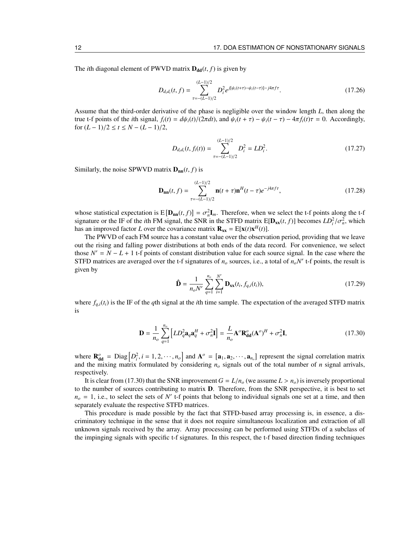The *i*th diagonal element of PWVD matrix  $D_{dd}(t, f)$  is given by

$$
D_{d_i d_i}(t, f) = \sum_{\tau=-(L-1)/2}^{(L-1)/2} D_i^2 e^{j[\psi_i(t+\tau)-\psi_i(t-\tau)]-j4\pi f\tau}.
$$
 (17.26)

Assume that the third-order derivative of the phase is negligible over the window length *L*, then along the true t-f points of the *i*th signal,  $f_i(t) = d\psi_i(t)/(2\pi dt)$ , and  $\psi_i(t + \tau) - \psi_i(t - \tau) - 4\pi f_i(t)\tau = 0$ . Accordingly, for (*L* − 1)/2 ≤ *t* ≤ *N* − (*L* − 1)/2,

$$
D_{d_i d_i}(t, f_i(t)) = \sum_{\tau=-(L-1)/2}^{(L-1)/2} D_i^2 = LD_i^2.
$$
 (17.27)

Similarly, the noise SPWVD matrix  $D_{nn}(t, f)$  is

$$
\mathbf{D}_{nn}(t,f) = \sum_{\tau=-(L-1)/2}^{(L-1)/2} \mathbf{n}(t+\tau)\mathbf{n}^{H}(t-\tau)e^{-j4\pi f\tau},
$$
\n(17.28)

whose statistical expectation is  $E[\mathbf{D}_{nn}(t, f)] = \sigma_n^2 \mathbf{I}_m$ . Therefore, when we select the t-f points along the t-f signature or the IF of the *i*th FM signal, the SNR in the STFD matrix  $E[\mathbf{D}_{xx}(t, f)]$  becomes  $LD_i^2/\sigma_n^2$ , which has an improved factor *L* over the covariance matrix  $\mathbf{R}_{xx} = E[\mathbf{x}(t)\mathbf{x}^H(t)].$ 

The PWVD of each FM source has a constant value over the observation period, providing that we leave out the rising and falling power distributions at both ends of the data record. For convenience, we select those  $N' = N - L + 1$  t-f points of constant distribution value for each source signal. In the case where the STFD matrices are averaged over the t-f signatures of  $n<sub>o</sub>$  sources, i.e., a total of  $n<sub>o</sub>N'$  t-f points, the result is given by

$$
\hat{\mathbf{D}} = \frac{1}{n_o N'} \sum_{q=1}^{n_o} \sum_{i=1}^{N'} \mathbf{D}_{\mathbf{x}\mathbf{x}}(t_i, f_{q,i}(t_i)),
$$
\n(17.29)

where  $f_{q,i}(t_i)$  is the IF of the *q*th signal at the *i*th time sample. The expectation of the averaged STFD matrix is

$$
\mathbf{D} = \frac{1}{n_o} \sum_{q=1}^{n_o} \left[ L D_q^2 \mathbf{a}_q \mathbf{a}_q^H + \sigma_n^2 \mathbf{I} \right] = \frac{L}{n_o} \mathbf{A}^o \mathbf{R}_{\mathbf{dd}}^o (\mathbf{A}^o)^H + \sigma_n^2 \mathbf{I},\tag{17.30}
$$

where  $\mathbf{R}_{\text{dd}}^o = \text{Diag}\left[D_i^2, i = 1, 2, \dots, n_o\right]$  and  $\mathbf{A}^o = \left[\mathbf{a}_1, \mathbf{a}_2, \dots, \mathbf{a}_{n_o}\right]$  represent the signal correlation matrix and the mixing matrix formulated by considering  $n<sub>o</sub>$  signals out of the total number of *n* signal arrivals, respectively.

It is clear from (17.30) that the SNR improvement  $G = L/n<sub>o</sub>$  (we assume  $L > n<sub>o</sub>$ ) is inversely proportional to the number of sources contributing to matrix **. Therefore, from the SNR perspective, it is best to set**  $n<sub>o</sub> = 1$ , i.e., to select the sets of *N*<sup>'</sup> t-f points that belong to individual signals one set at a time, and then separately evaluate the respective STFD matrices.

This procedure is made possible by the fact that STFD-based array processing is, in essence, a discriminatory technique in the sense that it does not require simultaneous localization and extraction of all unknown signals received by the array. Array processing can be performed using STFDs of a subclass of the impinging signals with specific t-f signatures. In this respect, the t-f based direction finding techniques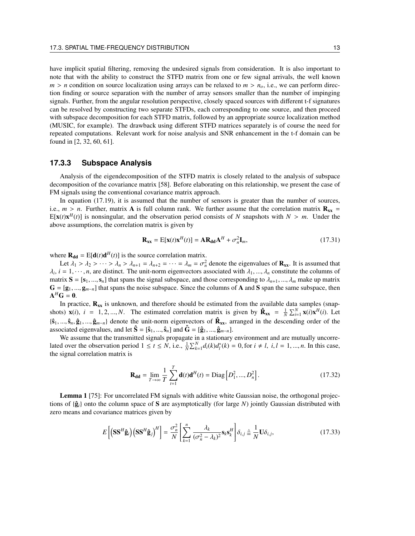have implicit spatial filtering, removing the undesired signals from consideration. It is also important to note that with the ability to construct the STFD matrix from one or few signal arrivals, the well known  $m > n$  condition on source localization using arrays can be relaxed to  $m > n<sub>o</sub>$ , i.e., we can perform direction finding or source separation with the number of array sensors smaller than the number of impinging signals. Further, from the angular resolution perspective, closely spaced sources with different t-f signatures can be resolved by constructing two separate STFDs, each corresponding to one source, and then proceed with subspace decomposition for each STFD matrix, followed by an appropriate source localization method (MUSIC, for example). The drawback using different STFD matrices separately is of course the need for repeated computations. Relevant work for noise analysis and SNR enhancement in the t-f domain can be found in [2, 32, 60, 61].

## **17.3.3 Subspace Analysis**

Analysis of the eigendecomposition of the STFD matrix is closely related to the analysis of subspace decomposition of the covariance matrix [58]. Before elaborating on this relationship, we present the case of FM signals using the conventional covariance matrix approach.

In equation (17.19), it is assumed that the number of sensors is greater than the number of sources, i.e.,  $m > n$ . Further, matrix **A** is full column rank. We further assume that the correlation matrix  $\mathbf{R}_{xx}$  =  $E[x(t)x<sup>H</sup>(t)]$  is nonsingular, and the observation period consists of *N* snapshots with  $N > m$ . Under the above assumptions, the correlation matrix is given by

$$
\mathbf{R}_{\mathbf{x}\mathbf{x}} = \mathbf{E}[\mathbf{x}(t)\mathbf{x}^H(t)] = \mathbf{A}\mathbf{R}_{\mathbf{dd}}\mathbf{A}^H + \sigma_n^2 \mathbf{I}_m, \tag{17.31}
$$

where  $\mathbf{R}_{\text{dd}} = E[\mathbf{d}(t)\mathbf{d}^H(t)]$  is the source correlation matrix.

Let  $\lambda_1 > \lambda_2 > \cdots > \lambda_n > \lambda_{n+1} = \lambda_{n+2} = \cdots = \lambda_m = \sigma_n^2$  denote the eigenvalues of  $\mathbf{R}_{xx}$ . It is assumed that  $\lambda_i$ ,  $i = 1, \dots, n$ , are distinct. The unit-norm eigenvectors associated with  $\lambda_1, \dots, \lambda_n$  constitute the columns of matrix  $S = [s_1, ..., s_n]$  that spans the signal subspace, and those corresponding to  $\lambda_{n+1}, ..., \lambda_m$  make up matrix  $G = [g_1, ..., g_{m-n}]$  that spans the noise subspace. Since the columns of **A** and **S** span the same subspace, then  $A^H G = 0.$ 

In practice,  $\mathbf{R}_{xx}$  is unknown, and therefore should be estimated from the available data samples (snapshots)  $\mathbf{x}(i)$ ,  $i = 1, 2, ..., N$ . The estimated correlation matrix is given by  $\hat{\mathbf{R}}_{xx} = \frac{1}{N} \sum_{i=1}^{N} \mathbf{x}(i) \mathbf{x}^H(i)$ . Let  $\{\hat{\mathbf{s}}_1, ..., \hat{\mathbf{s}}_n, \hat{\mathbf{g}}_1, ..., \hat{\mathbf{g}}_{m-n}\}$  denote the unit-norm eigenvectors of  $\hat{\mathbf{R}}_{xx}$ , arranged in the descending order of the associated eigenvalues, and let  $\hat{\mathbf{S}} = [\hat{\mathbf{s}}_1, ..., \hat{\mathbf{s}}_n]$  and  $\hat{\mathbf{G}} = [\hat{\mathbf{g}}_1, ..., \hat{\mathbf{g}}_{m-n}]$ .

We assume that the transmitted signals propagate in a stationary environment and are mutually uncorrelated over the observation period  $1 \le t \le N$ , i.e.,  $\frac{1}{N} \sum_{k=1}^{N} d_i(k) d_i^*(k) = 0$ , for  $i \ne l$ ,  $i, l = 1, ..., n$ . In this case, the signal correlation matrix is

$$
\mathbf{R}_{\mathbf{dd}} = \lim_{T \to \infty} \frac{1}{T} \sum_{t=1}^{T} \mathbf{d}(t) \mathbf{d}^{H}(t) = \text{Diag} \left[ D_{1}^{2}, ..., D_{n}^{2} \right].
$$
 (17.32)

Lemma 1 [75]: For uncorrelated FM signals with additive white Gaussian noise, the orthogonal projections of  $\{\hat{\mathbf{g}}_i\}$  onto the column space of S are asymptotically (for large N) jointly Gaussian distributed with zero means and covariance matrices given by

$$
E\left[\left(\mathbf{S}\mathbf{S}^{H}\mathbf{\hat{g}}_{i}\right)\left(\mathbf{S}\mathbf{S}^{H}\mathbf{\hat{g}}_{j}\right)^{H}\right] = \frac{\sigma_{n}^{2}}{N}\left[\sum_{k=1}^{n} \frac{\lambda_{k}}{(\sigma_{n}^{2} - \lambda_{k})^{2}}\mathbf{s}_{k}\mathbf{s}_{k}^{H}\right]\delta_{i,j} \stackrel{\triangle}{=} \frac{1}{N}\mathbf{U}\delta_{i,j},\tag{17.33}
$$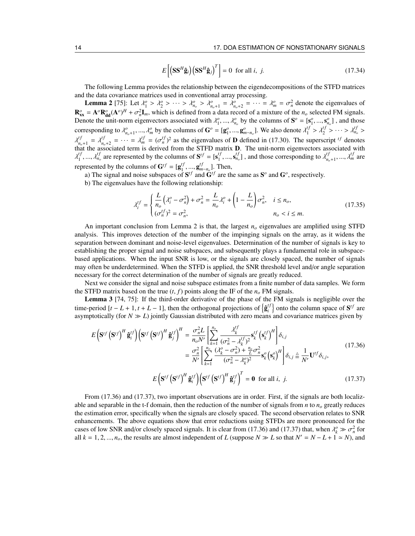$$
E\left[\left(\mathbf{S}\mathbf{S}^{H}\hat{\mathbf{g}}_{i}\right)\left(\mathbf{S}\mathbf{S}^{H}\hat{\mathbf{g}}_{j}\right)^{T}\right] = 0 \text{ for all } i, j. \tag{17.34}
$$

The following Lemma provides the relationship between the eigendecompositions of the STFD matrices and the data covariance matrices used in conventional array processing.

**Lemma 2** [75]: Let  $\lambda_1^o > \lambda_2^o > \cdots > \lambda_{n_o}^o > \lambda_{n_o+1}^o = \lambda_{n_o+2}^o = \cdots = \lambda_m^o = \sigma_n^2$  denote the eigenvalues of  $\mathbf{R}_{\mathbf{x}\mathbf{x}}^{\circ} = \mathbf{A}^{\circ} \mathbf{R}_{\mathbf{dd}}^{\circ} (\mathbf{A}^{\circ})^H + \sigma_n^2 \mathbf{I}_m$ , which is defined from a data record of a mixture of the *n<sub>o</sub>* selected FM signals. Denote the unit-norm eigenvectors associated with  $\lambda_1^o, ..., \lambda_{n_o}^o$  by the columns of  $S^o = [s_1^o, ..., s_{n_o}^o]$ , and those corresponding to  $\lambda_{n_0+1}^o$ , ...,  $\lambda_m^o$  by the columns of  $\mathbf{G}^o = [\mathbf{g}_1^o, ..., \mathbf{g}_{m-n_o}^o]$ . We also denote  $\lambda_1^{tf}$  $\lambda_1^{tf} > \lambda_2^{tf} > \cdots > \lambda_{n_o}^{tf} >$  $\lambda_n^{tf}$  $\lambda_{n_o+1}^{tf} = \lambda_{n_o}^{tf}$  $t f_{n_0+2} = \cdots = \lambda_m^{tf} = (\sigma_n^{tf})^2$  as the eigenvalues of **D** defined in (17.30). The superscript <sup>tf</sup> denotes that the associated term is derived from the STFD matrix D. The unit-norm eigenvectors associated with  $\lambda_1^{tf}$  $\lambda_1^{tf}, \ldots, \lambda_{n_o}^{tf}$  are represented by the columns of  $S^{tf} = [S_1^{tf}]$  $t_1^{tf}, ..., s_{n_o}^{tf}]$ , and those corresponding to  $\lambda_{n_o}^{tf}$  $\lambda_{n_o+1}^{tf}, \ldots, \lambda_m^{tf}$  are represented by the columns of  $\mathbf{G}^{tf} = [\mathbf{g}_1^{tf}]$  $\mathbf{g}_{m-n_o}^{tf}$ ]. Then,

a) The signal and noise subspaces of  $S^{tf}$  and  $G^{tf}$  are the same as  $S^o$  and  $G^o$ , respectively.

b) The eigenvalues have the following relationship:

$$
\lambda_i^{tf} = \begin{cases} \frac{L}{n_o} \left( \lambda_i^o - \sigma_n^2 \right) + \sigma_n^2 = \frac{L}{n_o} \lambda_i^o + \left( 1 - \frac{L}{n_o} \right) \sigma_n^2, & i \le n_o, \\ (\sigma_n^{tf})^2 = \sigma_n^2, & n_o < i \le m. \end{cases}
$$
(17.35)

An important conclusion from Lemma 2 is that, the largest *n<sup>o</sup>* eigenvalues are amplified using STFD analysis. This improves detection of the number of the impinging signals on the array, as it widens the separation between dominant and noise-level eigenvalues. Determination of the number of signals is key to establishing the proper signal and noise subspaces, and subsequently plays a fundamental role in subspacebased applications. When the input SNR is low, or the signals are closely spaced, the number of signals may often be underdetermined. When the STFD is applied, the SNR threshold level and/or angle separation necessary for the correct determination of the number of signals are greatly reduced.

Next we consider the signal and noise subspace estimates from a finite number of data samples. We form the STFD matrix based on the true  $(t, f)$  points along the IF of the  $n<sub>o</sub>$  FM signals.

Lemma 3 [74, 75]: If the third-order derivative of the phase of the FM signals is negligible over the time-period  $[t - L + 1, t + L - 1]$ , then the orthogonal projections of  $\left\{ \hat{\mathbf{g}}_{i}^{t} \right\}$  $\left\{ \begin{matrix} t & t \\ t & t \end{matrix} \right\}$  onto the column space of  $S^{tf}$  are asymptotically (for  $N \gg L$ ) jointly Gaussian distributed with zero means and covariance matrices given by

$$
E\left(\mathbf{S}^{tf}\left(\mathbf{S}^{tf}\right)^{H}\hat{\mathbf{g}}_{i}^{tf}\right)\left(\mathbf{S}^{tf}\left(\mathbf{S}^{tf}\right)^{H}\hat{\mathbf{g}}_{j}^{tf}\right)^{H} = \frac{\sigma_{n}^{2}L}{n_{o}N'}\left[\sum_{k=1}^{n_{o}}\frac{\lambda_{k}^{tf}}{(\sigma_{n}^{2} - \lambda_{k}^{tf})^{2}}\mathbf{s}_{k}^{tf}\left(\mathbf{s}_{k}^{tf}\right)^{H}\right]\delta_{i,j} \n= \frac{\sigma_{n}^{2}}{N'}\left[\sum_{k=1}^{n_{o}}\frac{(\lambda_{k}^{o} - \sigma_{n}^{2}) + \frac{n_{o}}{L}\sigma_{n}^{2}}{(\sigma_{n}^{2} - \lambda_{k}^{o})^{2}}\mathbf{s}_{k}^{o}\left(\mathbf{s}_{k}^{o}\right)^{H}\right]\delta_{i,j} \triangleq \frac{1}{N'}\mathbf{U}^{tf}\delta_{i,j},
$$
\n(17.36)\n
$$
E\left(\mathbf{S}^{tf}\left(\mathbf{S}^{tf}\right)^{H}\hat{\mathbf{g}}_{i}^{tf}\right)\left(\mathbf{S}^{tf}\left(\mathbf{S}^{tf}\right)^{H}\hat{\mathbf{g}}_{j}^{tf}\right)^{T} = \mathbf{0} \text{ for all } i, j. \tag{17.37}
$$

From (17.36) and (17.37), two important observations are in order. First, if the signals are both localizable and separable in the t-f domain, then the reduction of the number of signals from *n* to *n<sup>o</sup>* greatly reduces the estimation error, specifically when the signals are closely spaced. The second observation relates to SNR enhancements. The above equations show that error reductions using STFDs are more pronounced for the cases of low SNR and/or closely spaced signals. It is clear from (17.36) and (17.37) that, when  $\lambda_k^o \gg \sigma_n^2$  for all  $k = 1, 2, ..., n_o$ , the results are almost independent of *L* (suppose  $N \gg L$  so that  $N' = N - L + 1 \simeq N$ ), and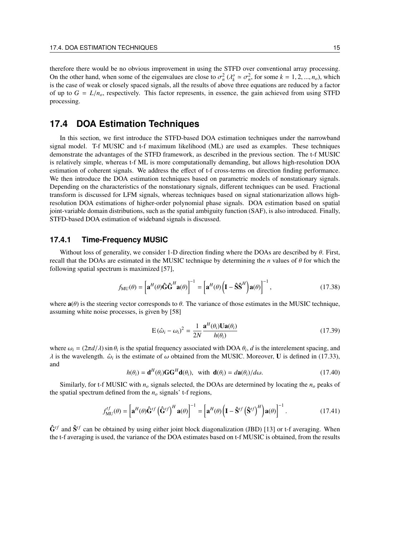therefore there would be no obvious improvement in using the STFD over conventional array processing. On the other hand, when some of the eigenvalues are close to  $\sigma_n^2$  ( $\lambda_k^o \simeq \sigma_n^2$ , for some  $k = 1, 2, ..., n_o$ ), which is the case of weak or closely spaced signals, all the results of above three equations are reduced by a factor of up to  $G = L/n<sub>o</sub>$ , respectively. This factor represents, in essence, the gain achieved from using STFD processing.

## **17.4 DOA Estimation Techniques**

In this section, we first introduce the STFD-based DOA estimation techniques under the narrowband signal model. T-f MUSIC and t-f maximum likelihood (ML) are used as examples. These techniques demonstrate the advantages of the STFD framework, as described in the previous section. The t-f MUSIC is relatively simple, whereas t-f ML is more computationally demanding, but allows high-resolution DOA estimation of coherent signals. We address the effect of t-f cross-terms on direction finding performance. We then introduce the DOA estimation techniques based on parametric models of nonstationary signals. Depending on the characteristics of the nonstationary signals, different techniques can be used. Fractional transform is discussed for LFM signals, whereas techniques based on signal stationarization allows highresolution DOA estimations of higher-order polynomial phase signals. DOA estimation based on spatial joint-variable domain distributions, such as the spatial ambiguity function (SAF), is also introduced. Finally, STFD-based DOA estimation of wideband signals is discussed.

#### **17.4.1 Time-Frequency MUSIC**

Without loss of generality, we consider 1-D direction finding where the DOAs are described by  $\theta$ . First, recall that the DOAs are estimated in the MUSIC technique by determining the *n* values of θ for which the following spatial spectrum is maximized [57],

$$
f_{\rm MU}(\theta) = \left[ \mathbf{a}^{H}(\theta) \hat{\mathbf{G}} \hat{\mathbf{G}}^{H} \mathbf{a}(\theta) \right]^{-1} = \left[ \mathbf{a}^{H}(\theta) \left( \mathbf{I} - \hat{\mathbf{S}} \hat{\mathbf{S}}^{H} \right) \mathbf{a}(\theta) \right]^{-1},
$$
 (17.38)

where  $\mathbf{a}(\theta)$  is the steering vector corresponds to  $\theta$ . The variance of those estimates in the MUSIC technique, assuming white noise processes, is given by [58]

$$
E(\hat{\omega}_i - \omega_i)^2 = \frac{1}{2N} \frac{\mathbf{a}^H(\theta_i) \mathbf{U} \mathbf{a}(\theta_i)}{h(\theta_i)}
$$
(17.39)

where  $\omega_i = (2\pi d/\lambda) \sin \theta_i$  is the spatial frequency associated with DOA  $\theta_i$ , *d* is the interelement spacing, and  $\lambda$  is the wavelength.  $\hat{\omega}_i$  is the estimate of  $\omega$  obtained from the MUSIC. Moreover, **U** is defined in (17.33), and

$$
h(\theta_i) = \mathbf{d}^H(\theta_i) \mathbf{G} \mathbf{G}^H \mathbf{d}(\theta_i), \text{ with } \mathbf{d}(\theta_i) = d\mathbf{a}(\theta_i) / d\omega.
$$
 (17.40)

Similarly, for t-f MUSIC with  $n<sub>o</sub>$  signals selected, the DOAs are determined by locating the  $n<sub>o</sub>$  peaks of the spatial spectrum defined from the  $n<sub>o</sub>$  signals' t-f regions,

$$
f_{\text{MU}}^{tf}(\theta) = \left[ \mathbf{a}^H(\theta) \hat{\mathbf{G}}^{tf} \left( \hat{\mathbf{G}}^{tf} \right)^H \mathbf{a}(\theta) \right]^{-1} = \left[ \mathbf{a}^H(\theta) \left( \mathbf{I} - \hat{\mathbf{S}}^{tf} \left( \hat{\mathbf{S}}^{tf} \right)^H \right) \mathbf{a}(\theta) \right]^{-1}.
$$
 (17.41)

 $\hat{G}^{tf}$  and  $\hat{S}^{tf}$  can be obtained by using either joint block diagonalization (JBD) [13] or t-f averaging. When the t-f averaging is used, the variance of the DOA estimates based on t-f MUSIC is obtained, from the results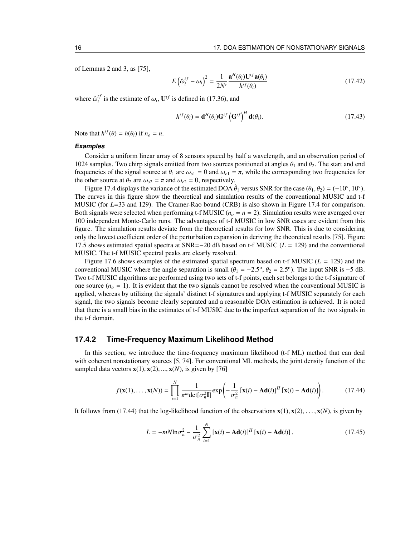of Lemmas 2 and 3, as [75],

$$
E\left(\hat{\omega}_i^{tf} - \omega_i\right)^2 = \frac{1}{2N'} \frac{\mathbf{a}^H(\theta_i) \mathbf{U}^{tf} \mathbf{a}(\theta_i)}{h^{tf}(\theta_i)}
$$
(17.42)

where  $\hat{\omega}_i^{t}$  $i_j^{tf}$  is the estimate of  $\omega_i$ ,  $\mathbf{U}^{tf}$  is defined in (17.36), and

$$
h^{tf}(\theta_i) = \mathbf{d}^H(\theta_i) \mathbf{G}^{tf} \left( \mathbf{G}^{tf} \right)^H \mathbf{d}(\theta_i). \tag{17.43}
$$

Note that  $h^{tf}(\theta) = h(\theta_i)$  if  $n_o = n$ .

#### **Examples**

Consider a uniform linear array of 8 sensors spaced by half a wavelength, and an observation period of 1024 samples. Two chirp signals emitted from two sources positioned at angles  $\theta_1$  and  $\theta_2$ . The start and end frequencies of the signal source at  $\theta_1$  are  $\omega_{s1} = 0$  and  $\omega_{e1} = \pi$ , while the corresponding two frequencies for the other source at  $\theta_2$  are  $\omega_{s2} = \pi$  and  $\omega_{e2} = 0$ , respectively.

Figure 17.4 displays the variance of the estimated DOA  $\hat{\theta}_1$  versus SNR for the case  $(\theta_1, \theta_2) = (-10^\circ, 10^\circ)$ . The curves in this figure show the theoretical and simulation results of the conventional MUSIC and t-f MUSIC (for *L*=33 and 129). The Cramer-Rao bound (CRB) is also shown in Figure 17.4 for comparison. Both signals were selected when performing t-f MUSIC ( $n<sub>o</sub> = n = 2$ ). Simulation results were averaged over 100 independent Monte-Carlo runs. The advantages of t-f MUSIC in low SNR cases are evident from this figure. The simulation results deviate from the theoretical results for low SNR. This is due to considering only the lowest coefficient order of the perturbation expansion in deriving the theoretical results [75]. Figure 17.5 shows estimated spatial spectra at SNR=−20 dB based on t-f MUSIC (*L* = 129) and the conventional MUSIC. The t-f MUSIC spectral peaks are clearly resolved.

Figure 17.6 shows examples of the estimated spatial spectrum based on t-f MUSIC ( $L = 129$ ) and the conventional MUSIC where the angle separation is small  $(\theta_1 = -2.5^\circ, \theta_2 = 2.5^\circ)$ . The input SNR is -5 dB. Two t-f MUSIC algorithms are performed using two sets of t-f points, each set belongs to the t-f signature of one source  $(n<sub>o</sub> = 1)$ . It is evident that the two signals cannot be resolved when the conventional MUSIC is applied, whereas by utilizing the signals' distinct t-f signatures and applying t-f MUSIC separately for each signal, the two signals become clearly separated and a reasonable DOA estimation is achieved. It is noted that there is a small bias in the estimates of t-f MUSIC due to the imperfect separation of the two signals in the t-f domain.

#### **17.4.2 Time-Frequency Maximum Likelihood Method**

In this section, we introduce the time-frequency maximum likelihood (t-f ML) method that can deal with coherent nonstationary sources [5, 74]. For conventional ML methods, the joint density function of the sampled data vectors  $\mathbf{x}(1), \mathbf{x}(2), ..., \mathbf{x}(N)$ , is given by [76]

$$
f(\mathbf{x}(1),\ldots,\mathbf{x}(N)) = \prod_{i=1}^{N} \frac{1}{\pi^m \det[\sigma_n^2 \mathbf{I}]} \exp\left(-\frac{1}{\sigma_n^2} \left[\mathbf{x}(i) - \mathbf{A}\mathbf{d}(i)\right]^H \left[\mathbf{x}(i) - \mathbf{A}\mathbf{d}(i)\right]\right).
$$
 (17.44)

It follows from (17.44) that the log-likelihood function of the observations  $\mathbf{x}(1), \mathbf{x}(2), \ldots, \mathbf{x}(N)$ , is given by

$$
L = -mN \ln \sigma_n^2 - \frac{1}{\sigma_n^2} \sum_{i=1}^N \left[ \mathbf{x}(i) - \mathbf{A} \mathbf{d}(i) \right]^H \left[ \mathbf{x}(i) - \mathbf{A} \mathbf{d}(i) \right]. \tag{17.45}
$$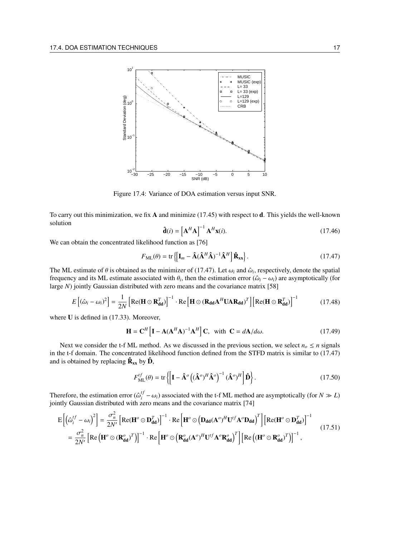

Figure 17.4: Variance of DOA estimation versus input SNR.

To carry out this minimization, we fix A and minimize (17.45) with respect to d. This yields the well-known solution

$$
\hat{\mathbf{d}}(i) = \left[\mathbf{A}^H \mathbf{A}\right]^{-1} \mathbf{A}^H \mathbf{x}(i). \tag{17.46}
$$

We can obtain the concentrated likelihood function as [76]

$$
F_{\mathrm{ML}}(\theta) = \mathrm{tr}\left\{ \left[ \mathbf{I}_m - \hat{\mathbf{A}} (\hat{\mathbf{A}}^H \hat{\mathbf{A}})^{-1} \hat{\mathbf{A}}^H \right] \hat{\mathbf{R}}_{\mathrm{xx}} \right\}.
$$
 (17.47)

The ML estimate of  $\theta$  is obtained as the minimizer of (17.47). Let  $\omega_i$  and  $\hat{\omega}_i$ , respectively, denote the spatial frequency and its ML estimate associated with  $\theta_i$ , then the estimation error ( $\hat{\omega}_i - \omega_i$ ) are asymptotically (for large *N*) jointly Gaussian distributed with zero means and the covariance matrix [58]

$$
E[(\hat{\omega}_i - \omega_i)^2] = \frac{1}{2N} \left[ \text{Re}(\mathbf{H} \odot \mathbf{R}_{\text{dd}}^T) \right]^{-1} \cdot \text{Re} \left[ \mathbf{H} \odot (\mathbf{R}_{\text{dd}} \mathbf{A}^H \mathbf{U} \mathbf{A} \mathbf{R}_{\text{dd}})^T \right] \left[ \text{Re}(\mathbf{H} \odot \mathbf{R}_{\text{dd}}^T) \right]^{-1} \tag{17.48}
$$

where U is defined in  $(17.33)$ . Moreover,

$$
\mathbf{H} = \mathbf{C}^H \left[ \mathbf{I} - \mathbf{A} (\mathbf{A}^H \mathbf{A})^{-1} \mathbf{A}^H \right] \mathbf{C}, \text{ with } \mathbf{C} = d\mathbf{A} / d\omega.
$$
 (17.49)

Next we consider the t-f ML method. As we discussed in the previous section, we select  $n<sub>o</sub> \le n$  signals in the t-f domain. The concentrated likelihood function defined from the STFD matrix is similar to (17.47) and is obtained by replacing  $\hat{\mathbf{R}}_{xx}$  by  $\hat{\mathbf{D}}$ ,

$$
F_{\text{ML}}^{tf}(\theta) = \text{tr}\left\{ \left[ \mathbf{I} - \hat{\mathbf{A}}^o \left( (\hat{\mathbf{A}}^o)^H \hat{\mathbf{A}}^o \right)^{-1} (\hat{\mathbf{A}}^o)^H \right] \hat{\mathbf{D}} \right\}.
$$
 (17.50)

Therefore, the estimation error  $(\hat{\omega}_i^{t}$  $\frac{df}{dt}$  − ω<sub>*i*</sub>) associated with the t-f ML method are asymptotically (for *N*  $\gg$  *L*) jointly Gaussian distributed with zero means and the covariance matrix [74]

$$
E\left[\left(\hat{\omega}_{i}^{tf} - \omega_{i}\right)^{2}\right] = \frac{\sigma_{n}^{2}}{2N'}\left[\text{Re}(\mathbf{H}^{o} \odot \mathbf{D}_{dd}^{T})\right]^{-1} \cdot \text{Re}\left[\mathbf{H}^{o} \odot \left(\mathbf{D}_{dd}(\mathbf{A}^{o})^{H}\mathbf{U}^{tf}\mathbf{A}^{o}\mathbf{D}_{dd}\right)^{T}\right]\left[\text{Re}(\mathbf{H}^{o} \odot \mathbf{D}_{dd}^{T})\right]^{-1}
$$

$$
= \frac{\sigma_{n}^{2}}{2N'}\left[\text{Re}\left(\mathbf{H}^{o} \odot (\mathbf{R}_{dd}^{o})^{T}\right)\right]^{-1} \cdot \text{Re}\left[\mathbf{H}^{o} \odot \left(\mathbf{R}_{dd}^{o}(\mathbf{A}^{o})^{H}\mathbf{U}^{tf}\mathbf{A}^{o}\mathbf{R}_{dd}^{o}\right)^{T}\right]\left[\text{Re}\left((\mathbf{H}^{o} \odot \mathbf{R}_{dd}^{o})^{T}\right)\right]^{-1}, \tag{17.51}
$$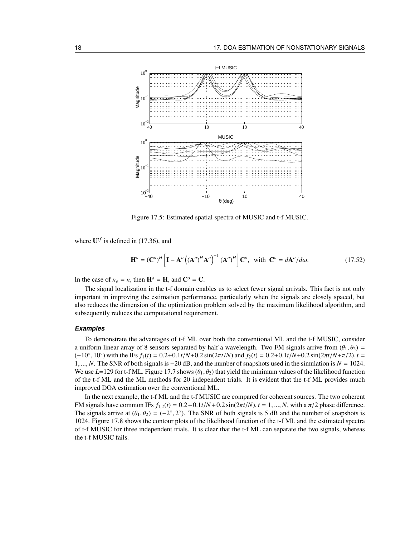

Figure 17.5: Estimated spatial spectra of MUSIC and t-f MUSIC.

where  $U^{tf}$  is defined in (17.36), and

$$
\mathbf{H}^o = (\mathbf{C}^o)^H \left[ \mathbf{I} - \mathbf{A}^o \left( (\mathbf{A}^o)^H \mathbf{A}^o \right)^{-1} (\mathbf{A}^o)^H \right] \mathbf{C}^o, \text{ with } \mathbf{C}^o = d\mathbf{A}^o / d\omega. \tag{17.52}
$$

In the case of  $n_o = n$ , then  $\mathbf{H}^o = \mathbf{H}$ , and  $\mathbf{C}^o = \mathbf{C}$ .

The signal localization in the t-f domain enables us to select fewer signal arrivals. This fact is not only important in improving the estimation performance, particularly when the signals are closely spaced, but also reduces the dimension of the optimization problem solved by the maximum likelihood algorithm, and subsequently reduces the computational requirement.

#### **Examples**

To demonstrate the advantages of t-f ML over both the conventional ML and the t-f MUSIC, consider a uniform linear array of 8 sensors separated by half a wavelength. Two FM signals arrive from  $(\theta_1, \theta_2)$  =  $(-10^{\circ}, 10^{\circ})$  with the IFs  $f_1(t) = 0.2 + 0.1t/N + 0.2 \sin(2\pi t/N)$  and  $f_2(t) = 0.2 + 0.1t/N + 0.2 \sin(2\pi t/N + \pi/2)$ ,  $t =$ 1, ..., *N*. The SNR of both signals is −20 dB, and the number of snapshots used in the simulation is *N* = 1024. We use  $L=129$  for t-f ML. Figure 17.7 shows  $(\theta_1, \theta_2)$  that yield the minimum values of the likelihood function of the t-f ML and the ML methods for 20 independent trials. It is evident that the t-f ML provides much improved DOA estimation over the conventional ML.

In the next example, the t-f ML and the t-f MUSIC are compared for coherent sources. The two coherent FM signals have common IFs  $f_{1,2}(t) = 0.2 + 0.1t/N + 0.2 \sin(2\pi t/N)$ ,  $t = 1, ..., N$ , with a  $\pi/2$  phase difference. The signals arrive at  $(\theta_1, \theta_2) = (-2^{\circ}, 2^{\circ})$ . The SNR of both signals is 5 dB and the number of snapshots is 1024. Figure 17.8 shows the contour plots of the likelihood function of the t-f ML and the estimated spectra of t-f MUSIC for three independent trials. It is clear that the t-f ML can separate the two signals, whereas the t-f MUSIC fails.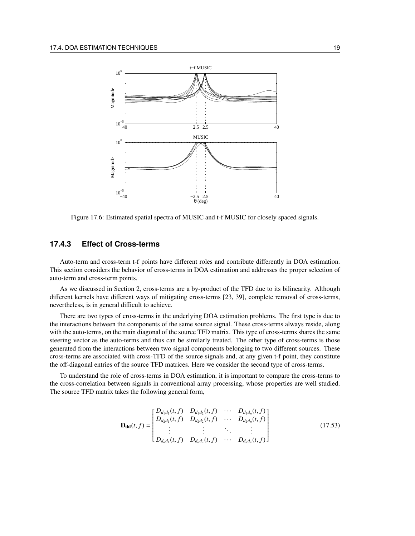

Figure 17.6: Estimated spatial spectra of MUSIC and t-f MUSIC for closely spaced signals.

## **17.4.3 Effect of Cross-terms**

Auto-term and cross-term t-f points have different roles and contribute differently in DOA estimation. This section considers the behavior of cross-terms in DOA estimation and addresses the proper selection of auto-term and cross-term points.

As we discussed in Section 2, cross-terms are a by-product of the TFD due to its bilinearity. Although different kernels have different ways of mitigating cross-terms [23, 39], complete removal of cross-terms, nevertheless, is in general difficult to achieve.

There are two types of cross-terms in the underlying DOA estimation problems. The first type is due to the interactions between the components of the same source signal. These cross-terms always reside, along with the auto-terms, on the main diagonal of the source TFD matrix. This type of cross-terms shares the same steering vector as the auto-terms and thus can be similarly treated. The other type of cross-terms is those generated from the interactions between two signal components belonging to two different sources. These cross-terms are associated with cross-TFD of the source signals and, at any given t-f point, they constitute the off-diagonal entries of the source TFD matrices. Here we consider the second type of cross-terms.

To understand the role of cross-terms in DOA estimation, it is important to compare the cross-terms to the cross-correlation between signals in conventional array processing, whose properties are well studied. The source TFD matrix takes the following general form,

$$
\mathbf{D}_{\mathbf{dd}}(t,f) = \begin{bmatrix} D_{d_1d_1}(t,f) & D_{d_1d_2}(t,f) & \cdots & D_{d_1d_n}(t,f) \\ D_{d_2d_1}(t,f) & D_{d_2d_2}(t,f) & \cdots & D_{d_2d_n}(t,f) \\ \vdots & \vdots & \ddots & \vdots \\ D_{d_nd_1}(t,f) & D_{d_nd_2}(t,f) & \cdots & D_{d_nd_n}(t,f) \end{bmatrix}
$$
(17.53)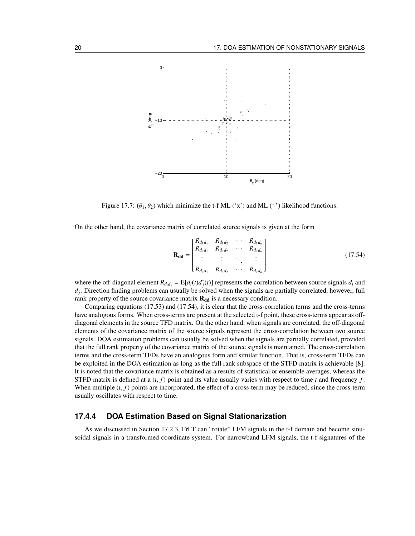

Figure 17.7:  $(\theta_1, \theta_2)$  which minimize the t-f ML ('x') and ML ('') likelihood functions.

On the other hand, the covariance matrix of correlated source signals is given at the form

$$
\mathbf{R}_{\rm dd} = \begin{bmatrix} R_{d_1d_1} & R_{d_1d_2} & \cdots & R_{d_1d_n} \\ R_{d_2d_1} & R_{d_2d_2} & \cdots & R_{d_2d_n} \\ \vdots & \vdots & \ddots & \vdots \\ R_{d_nd_1} & R_{d_nd_2} & \cdots & R_{d_nd_n} \end{bmatrix}
$$
 (17.54)

where the off-diagonal element  $R_{d_i d_j} = E[d_i(t)d_j^*(t)]$  represents the correlation between source signals  $d_i$  and  $d_j$ . Direction finding problems can usually be solved when the signals are partially correlated, however, full rank property of the source covariance matrix  $R_{dd}$  is a necessary condition.

Comparing equations (17.53) and (17.54), it is clear that the cross-correlation terms and the cross-terms have analogous forms. When cross-terms are present at the selected t-f point, these cross-terms appear as offdiagonal elements in the source TFD matrix. On the other hand, when signals are correlated, the off-diagonal elements of the covariance matrix of the source signals represent the cross-correlation between two source signals. DOA estimation problems can usually be solved when the signals are partially correlated, provided that the full rank property of the covariance matrix of the source signals is maintained. The cross-correlation terms and the cross-term TFDs have an analogous form and similar function. That is, cross-term TFDs can be exploited in the DOA estimation as long as the full rank subspace of the STFD matrix is achievable [8]. It is noted that the covariance matrix is obtained as a results of statistical or ensemble averages, whereas the STFD matrix is defined at a  $(t, f)$  point and its value usually varies with respect to time  $t$  and frequency  $f$ . When multiple  $(t, f)$  points are incorporated, the effect of a cross-term may be reduced, since the cross-term usually oscillates with respect to time.

#### **17.4.4 DOA Estimation Based on Signal Stationarization**

As we discussed in Section 17.2.3, FrFT can "rotate" LFM signals in the t-f domain and become sinusoidal signals in a transformed coordinate system. For narrowband LFM signals, the t-f signatures of the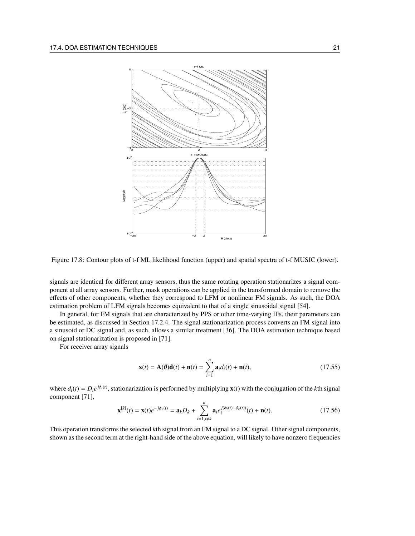

Figure 17.8: Contour plots of t-f ML likelihood function (upper) and spatial spectra of t-f MUSIC (lower).

signals are identical for different array sensors, thus the same rotating operation stationarizes a signal component at all array sensors. Further, mask operations can be applied in the transformed domain to remove the effects of other components, whether they correspond to LFM or nonlinear FM signals. As such, the DOA estimation problem of LFM signals becomes equivalent to that of a single sinusoidal signal [54].

In general, for FM signals that are characterized by PPS or other time-varying IFs, their parameters can be estimated, as discussed in Section 17.2.4. The signal stationarization process converts an FM signal into a sinusoid or DC signal and, as such, allows a similar treatment [36]. The DOA estimation technique based on signal stationarization is proposed in [71].

For receiver array signals

$$
\mathbf{x}(t) = \mathbf{A}(\boldsymbol{\theta})\mathbf{d}(t) + \mathbf{n}(t) = \sum_{i=1}^{n} \mathbf{a}_i d_i(t) + \mathbf{n}(t),
$$
\n(17.55)

where  $d_i(t) = D_i e^{j\phi_i(t)}$ , stationarization is performed by multiplying  $\mathbf{x}(t)$  with the conjugation of the *k*th signal component [71],

$$
\mathbf{x}^{[k]}(t) = \mathbf{x}(t)e^{-j\phi_k(t)} = \mathbf{a}_k D_k + \sum_{i=1, i \neq k}^{n} \mathbf{a}_i e_i^{j(\phi_i(t) - \phi_k(t))}(t) + \mathbf{n}(t).
$$
 (17.56)

This operation transforms the selected *k*th signal from an FM signal to a DC signal. Other signal components, shown as the second term at the right-hand side of the above equation, will likely to have nonzero frequencies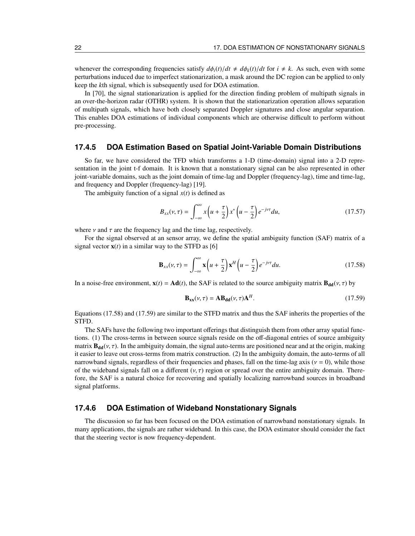whenever the corresponding frequencies satisfy  $d\phi_i(t)/dt \neq d\phi_k(t)/dt$  for  $i \neq k$ . As such, even with some perturbations induced due to imperfect stationarization, a mask around the DC region can be applied to only keep the *k*th signal, which is subsequently used for DOA estimation.

In [70], the signal stationarization is applied for the direction finding problem of multipath signals in an over-the-horizon radar (OTHR) system. It is shown that the stationarization operation allows separation of multipath signals, which have both closely separated Doppler signatures and close angular separation. This enables DOA estimations of individual components which are otherwise difficult to perform without pre-processing.

#### **17.4.5 DOA Estimation Based on Spatial Joint-Variable Domain Distributions**

So far, we have considered the TFD which transforms a 1-D (time-domain) signal into a 2-D representation in the joint t-f domain. It is known that a nonstationary signal can be also represented in other joint-variable domains, such as the joint domain of time-lag and Doppler (frequency-lag), time and time-lag, and frequency and Doppler (frequency-lag) [19].

The ambiguity function of a signal  $x(t)$  is defined as

$$
B_{xx}(\nu,\tau) = \int_{-\infty}^{\infty} x\left(u + \frac{\tau}{2}\right) x^* \left(u - \frac{\tau}{2}\right) e^{-j\nu\tau} du, \tag{17.57}
$$

where  $\nu$  and  $\tau$  are the frequency lag and the time lag, respectively.

For the signal observed at an sensor array, we define the spatial ambiguity function (SAF) matrix of a signal vector  $\mathbf{x}(t)$  in a similar way to the STFD as [6]

$$
\mathbf{B}_{xx}(\nu,\tau) = \int_{-\infty}^{\infty} \mathbf{x} \left( u + \frac{\tau}{2} \right) \mathbf{x}^H \left( u - \frac{\tau}{2} \right) e^{-j\nu\tau} du. \tag{17.58}
$$

In a noise-free environment,  $\mathbf{x}(t) = \mathbf{A}\mathbf{d}(t)$ , the SAF is related to the source ambiguity matrix  $\mathbf{B}_{\mathbf{d}\mathbf{d}}(v, \tau)$  by

$$
\mathbf{B}_{\mathbf{xx}}(\nu,\tau) = \mathbf{A}\mathbf{B}_{\mathbf{dd}}(\nu,\tau)\mathbf{A}^H.
$$
 (17.59)

Equations (17.58) and (17.59) are similar to the STFD matrix and thus the SAF inherits the properties of the STFD.

The SAFs have the following two important offerings that distinguish them from other array spatial functions. (1) The cross-terms in between source signals reside on the off-diagonal entries of source ambiguity matrix  $B_{dd}(v, \tau)$ . In the ambiguity domain, the signal auto-terms are positioned near and at the origin, making it easier to leave out cross-terms from matrix construction. (2) In the ambiguity domain, the auto-terms of all narrowband signals, regardless of their frequencies and phases, fall on the time-lag axis ( $v = 0$ ), while those of the wideband signals fall on a different  $(v, \tau)$  region or spread over the entire ambiguity domain. Therefore, the SAF is a natural choice for recovering and spatially localizing narrowband sources in broadband signal platforms.

#### **17.4.6 DOA Estimation of Wideband Nonstationary Signals**

The discussion so far has been focused on the DOA estimation of narrowband nonstationary signals. In many applications, the signals are rather wideband. In this case, the DOA estimator should consider the fact that the steering vector is now frequency-dependent.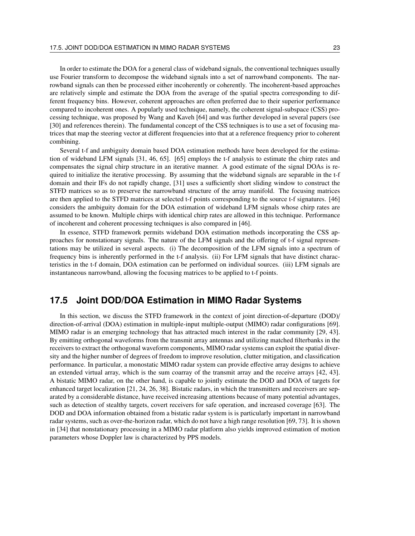In order to estimate the DOA for a general class of wideband signals, the conventional techniques usually use Fourier transform to decompose the wideband signals into a set of narrowband components. The narrowband signals can then be processed either incoherently or coherently. The incoherent-based approaches are relatively simple and estimate the DOA from the average of the spatial spectra corresponding to different frequency bins. However, coherent approaches are often preferred due to their superior performance compared to incoherent ones. A popularly used technique, namely, the coherent signal-subspace (CSS) processing technique, was proposed by Wang and Kaveh [64] and was further developed in several papers (see [30] and references therein). The fundamental concept of the CSS techniques is to use a set of focusing matrices that map the steering vector at different frequencies into that at a reference frequency prior to coherent combining.

Several t-f and ambiguity domain based DOA estimation methods have been developed for the estimation of wideband LFM signals [31, 46, 65]. [65] employs the t-f analysis to estimate the chirp rates and compensates the signal chirp structure in an iterative manner. A good estimate of the signal DOAs is required to initialize the iterative processing. By assuming that the wideband signals are separable in the t-f domain and their IFs do not rapidly change, [31] uses a sufficiently short sliding window to construct the STFD matrices so as to preserve the narrowband structure of the array manifold. The focusing matrices are then applied to the STFD matrices at selected t-f points corresponding to the source t-f signatures. [46] considers the ambiguity domain for the DOA estimation of wideband LFM signals whose chirp rates are assumed to be known. Multiple chirps with identical chirp rates are allowed in this technique. Performance of incoherent and coherent processing techniques is also compared in [46].

In essence, STFD framework permits wideband DOA estimation methods incorporating the CSS approaches for nonstationary signals. The nature of the LFM signals and the offering of t-f signal representations may be utilized in several aspects. (i) The decomposition of the LFM signals into a spectrum of frequency bins is inherently performed in the t-f analysis. (ii) For LFM signals that have distinct characteristics in the t-f domain, DOA estimation can be performed on individual sources. (iii) LFM signals are instantaneous narrowband, allowing the focusing matrices to be applied to t-f points.

## **17.5 Joint DOD/DOA Estimation in MIMO Radar Systems**

In this section, we discuss the STFD framework in the context of joint direction-of-departure (DOD)/ direction-of-arrival (DOA) estimation in multiple-input multiple-output (MIMO) radar configurations [69]. MIMO radar is an emerging technology that has attracted much interest in the radar community [29, 43]. By emitting orthogonal waveforms from the transmit array antennas and utilizing matched filterbanks in the receivers to extract the orthogonal waveform components, MIMO radar systems can exploit the spatial diversity and the higher number of degrees of freedom to improve resolution, clutter mitigation, and classification performance. In particular, a monostatic MIMO radar system can provide effective array designs to achieve an extended virtual array, which is the sum coarray of the transmit array and the receive arrays [42, 43]. A bistatic MIMO radar, on the other hand, is capable to jointly estimate the DOD and DOA of targets for enhanced target localization [21, 24, 26, 38]. Bistatic radars, in which the transmitters and receivers are separated by a considerable distance, have received increasing attentions because of many potential advantages, such as detection of stealthy targets, covert receivers for safe operation, and increased coverage [63]. The DOD and DOA information obtained from a bistatic radar system is is particularly important in narrowband radar systems, such as over-the-horizon radar, which do not have a high range resolution [69, 73]. It is shown in [34] that nonstationary processing in a MIMO radar platform also yields improved estimation of motion parameters whose Doppler law is characterized by PPS models.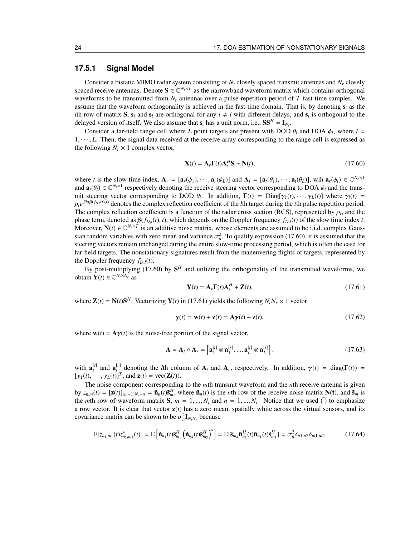## **17.5.1 Signal Model**

Consider a bistatic MIMO radar system consisting of *N<sup>t</sup>* closely spaced transmit antennas and *N<sup>r</sup>* closely spaced receive antennas. Denote  $S \in \mathbb{C}^{N_t \times T}$  as the narrowband waveform matrix which contains orthogonal waveforms to be transmitted from *N<sup>t</sup>* antennas over a pulse-repetition period of *T* fast-time samples. We assume that the waveform orthogonality is achieved in the fast-time domain. That is, by denoting s*<sup>i</sup>* as the *i*th row of matrix **S**,  $s_i$  and  $s_l$  are orthogonal for any  $i \neq l$  with different delays, and  $s_i$  is orthogonal to the delayed version of itself. We also assume that  $s_i$  has a unit norm, i.e.,  $SS^H = I_{N_t}$ .

Consider a far-field range cell where *L* point targets are present with DOD  $\theta_l$  and DOA  $\phi_l$ , where  $l =$  $1, \dots, L$ . Then, the signal data received at the receive array corresponding to the range cell is expressed as the following  $N_r \times 1$  complex vector,

$$
\mathbf{X}(t) = \mathbf{A}_r \mathbf{\Gamma}(t) \mathbf{A}_t^H \mathbf{S} + \mathbf{N}(t),\tag{17.60}
$$

where *t* is the slow time index,  $\mathbf{A}_r = [\mathbf{a}_r(\phi_1), \cdots, \mathbf{a}_r(\phi_L)]$  and  $\mathbf{A}_t = [\mathbf{a}_t(\theta_1), \cdots, \mathbf{a}_t(\theta_L)]$ , wih  $\mathbf{a}_r(\phi_l) \in \mathbb{C}^{N_r \times 1}$ and  $\mathbf{a}_t(\theta_l) \in \mathbb{C}^{N_t \times 1}$  respectively denoting the receive steering vector corresponding to DOA  $\phi_l$  and the transmit steering vector corresponding to DOD  $\theta_l$ . In addition,  $\Gamma(t) = \text{Diag}[\gamma_1(t), \dots, \gamma_L(t)]$  where  $\gamma_l(t) =$  $\rho_l e^{j2\pi\beta(f_{D,l}(t),t)}$  denotes the complex reflection coefficient of the *l*th target during the *t*th pulse repetition period. The complex reflection coefficient is a function of the radar cross section (RCS), represented by  $\rho_l$ , and the phase term, denoted as  $\beta(f_{D,l}(t), t)$ , which depends on the Doppler frequency  $f_{D,l}(t)$  of the slow time index *t*. Moreover,  $N(t) \in \mathbb{C}^{N_r \times T}$  is an additive noise matrix, whose elements are assumed to be i.i.d. complex Gaussian random variables with zero mean and variance  $\sigma_n^2$ . To qualify expression (17.60), it is assumed that the steering vectors remain unchanged during the entire slow-time processing period, which is often the case for far-field targets. The nonstationary signatures result from the maneuvering flights of targets, represented by the Doppler frequency  $f_{D,l}(t)$ .

By post-multiplying (17.60) by  $S<sup>H</sup>$  and utilizing the orthogonality of the transmitted waveforms, we obtain  $\mathbf{Y}(t) \in \mathbb{C}^{N_t \times N_r}$  as

$$
\mathbf{Y}(t) = \mathbf{A}_r \mathbf{\Gamma}(t) \mathbf{A}_t^H + \mathbf{Z}(t),\tag{17.61}
$$

where  $\mathbf{Z}(t) = \mathbf{N}(t)\mathbf{S}^H$ . Vectorizing  $\mathbf{Y}(t)$  in (17.61) yields the following  $N_tN_r \times 1$  vector

$$
\mathbf{y}(t) = \mathbf{w}(t) + \mathbf{z}(t) = \mathbf{A}\boldsymbol{\gamma}(t) + \mathbf{z}(t),
$$
\n(17.62)

where  $w(t) = A\gamma(t)$  is the noise-free portion of the signal vector,

$$
\mathbf{A} = \mathbf{A}_t \diamond \mathbf{A}_r = \left[ \mathbf{a}_1^{[r]} \otimes \mathbf{a}_1^{[r]}, \dots, \mathbf{a}_L^{[r]} \otimes \mathbf{a}_L^{[r]} \right],\tag{17.63}
$$

with  $\mathbf{a}_{l}^{[r]}$  and  $\mathbf{a}_{l}^{[r]}$  denoting the *l*th column of  $\mathbf{A}_{t}$  and  $\mathbf{A}_{r}$ , respectively. In addition,  $\gamma(t) = \text{diag}(\Gamma(t)) =$  $[\gamma_1(t), \cdots, \gamma_L(t)]^T$ , and  $\mathbf{z}(t) = \text{vec}(\mathbf{Z}(t))$ .

The noise component corresponding to the *m*th transmit waveform and the *n*th receive antenna is given by  $z_{n,m}(t) = [\mathbf{z}(t)]_{(m-1)N_r+n} = \tilde{\mathbf{n}}_n(t)\tilde{\mathbf{s}}_m^H$ , where  $\tilde{\mathbf{n}}_n(t)$  is the *n*th row of the receive noise matrix  $\mathbf{N}(t)$ , and  $\tilde{\mathbf{s}}_m$  is the *m*th row of waveform matrix  $S$ ,  $m = 1, ..., N_t$  and  $n = 1, ..., N_r$ . Notice that we used  $\tilde{O}$  to emphasize a row vector. It is clear that vector  $z(t)$  has a zero mean, spatially white across the virtual sensors, and its covariance matrix can be shown to be  $\sigma_n^2 \mathbf{I}_{N_t N_r}$  because

$$
E[z_{n_1,m_1}(t)z_{n_2,m_2}^*(t)] = E\left[\tilde{\mathbf{n}}_{n_1}(t)\tilde{\mathbf{s}}_{m_1}^H \left(\tilde{\mathbf{n}}_{n_2}(t)\tilde{\mathbf{s}}_{m_2}^H\right)^*\right] = E[\tilde{\mathbf{s}}_{m_2}\tilde{\mathbf{n}}_{n_2}^H(t)\tilde{\mathbf{n}}_{n_1}(t)\tilde{\mathbf{s}}_{m_1}^H] = \sigma_n^2 \delta_{n_1,n_2} \delta_{m_1,m_2}.
$$
 (17.64)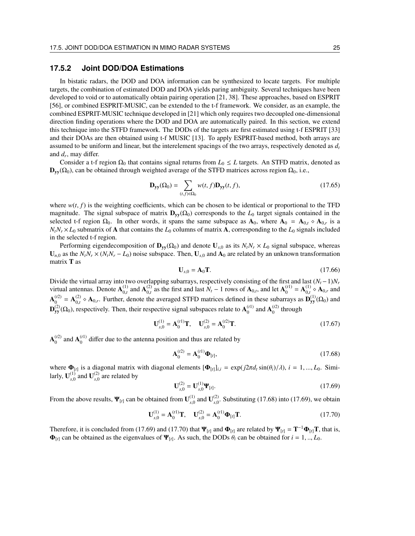## **17.5.2 Joint DOD/DOA Estimations**

In bistatic radars, the DOD and DOA information can be synthesized to locate targets. For multiple targets, the combination of estimated DOD and DOA yields paring ambiguity. Several techniques have been developed to void or to automatically obtain pairing operation [21, 38]. These approaches, based on ESPRIT [56], or combined ESPRIT-MUSIC, can be extended to the t-f framework. We consider, as an example, the combined ESPRIT-MUSIC technique developed in [21] which only requires two decoupled one-dimensional direction finding operations where the DOD and DOA are automatically paired. In this section, we extend this technique into the STFD framework. The DODs of the targets are first estimated using t-f ESPRIT [33] and their DOAs are then obtained using t-f MUSIC [13]. To apply ESPRIT-based method, both arrays are assumed to be uniform and linear, but the interelement spacings of the two arrays, respectively denoted as *d<sup>t</sup>* and *d<sup>r</sup>* , may differ.

Consider a t-f region  $\Omega_0$  that contains signal returns from  $L_0 \leq L$  targets. An STFD matrix, denoted as  $\mathbf{D}_{yy}(\Omega_0)$ , can be obtained through weighted average of the STFD matrices across region  $\Omega_0$ , i.e.,

$$
\mathbf{D}_{\mathbf{y}\mathbf{y}}(\Omega_0) = \sum_{(t,f)\in\Omega_0} w(t,f)\mathbf{D}_{\mathbf{y}\mathbf{y}}(t,f),\tag{17.65}
$$

where  $w(t, f)$  is the weighting coefficients, which can be chosen to be identical or proportional to the TFD magnitude. The signal subspace of matrix  $\mathbf{D}_{\mathbf{v}}(\Omega_0)$  corresponds to the  $L_0$  target signals contained in the selected t-f region  $\Omega_0$ . In other words, it spans the same subspace as  $\mathbf{A}_0$ , where  $\mathbf{A}_0 = \mathbf{A}_{0,t} \diamond \mathbf{A}_{0,r}$  is a  $N_t N_r \times L_0$  submatrix of **A** that contains the  $L_0$  columns of matrix **A**, corresponding to the  $L_0$  signals included in the selected t-f region.

Performing eigendecomposition of  $\mathbf{D}_{\mathbf{v} \mathbf{v}}(\Omega_0)$  and denote  $\mathbf{U}_{s,0}$  as its  $N_tN_r \times L_0$  signal subspace, whereas  $U_{n,0}$  as the  $N_tN_r \times (N_tN_r - L_0)$  noise subspace. Then,  $U_{s,0}$  and  $A_0$  are related by an unknown transformation matrix T as

$$
\mathbf{U}_{s,0} = \mathbf{A}_0 \mathbf{T}.\tag{17.66}
$$

Divide the virtual array into two overlapping subarrays, respectively consisting of the first and last  $(N_t - 1)N_r$ virtual antennas. Denote  $A_{0,t}^{(1)}$  and  $A_{0,t}^{(2)}$  as the first and last  $N_t - 1$  rows of  $A_{0,t}$ , and let  $A_0^{(t)}$  $\mathbf{A}_{0,t}^{(1)} = \mathbf{A}_{0,t}^{(1)} \diamond \mathbf{A}_{0,r}$  and  $A_0^{(t2)}$  $\mathbf{A}_{0,t}^{(2)} = \mathbf{A}_{0,t}^{(2)} \diamond \mathbf{A}_{0,r}$ . Further, denote the averaged STFD matrices defined in these subarrays as  $\mathbf{D}_{yy}^{(1)}(\Omega_0)$  and  ${\bf D}_{yy}^{(2)}(\Omega_0)$ , respectively. Then, their respective signal subspaces relate to  ${\bf A}_0^{(t)}$  $_0^{(t1)}$  and  $A_0^{(t2)}$  $\int_0^{(L)}$  through

$$
\mathbf{U}_{s,0}^{(1)} = \mathbf{A}_0^{(t1)} \mathbf{T}, \quad \mathbf{U}_{s,0}^{(2)} = \mathbf{A}_0^{(t2)} \mathbf{T}.
$$
 (17.67)

 $A_0^{(t2)}$  $_0^{(t2)}$  and  $A_0^{(t1)}$  $_0^{(1)}$  differ due to the antenna position and thus are related by

$$
\mathbf{A}_0^{(t2)} = \mathbf{A}_0^{(t1)} \mathbf{\Phi}_{[t]},\tag{17.68}
$$

where  $\Phi_{[t]}$  is a diagonal matrix with diagonal elements  $[\Phi_{[t]}]_{i,i} = \exp(j2\pi d_t \sin(\theta_i)/\lambda), i = 1, ..., L_0$ . Similarly,  $\mathbf{U}_{s,0}^{(1)}$  and  $\mathbf{U}_{s,0}^{(2)}$  are related by

$$
\mathbf{U}_{s,0}^{(2)} = \mathbf{U}_{s,0}^{(1)} \mathbf{\Psi}_{[t]}.
$$
 (17.69)

From the above results,  $\Psi_{[t]}$  can be obtained from  $\mathbf{U}_{s,0}^{(1)}$  and  $\mathbf{U}_{s,0}^{(2)}$ . Substituting (17.68) into (17.69), we obtain

$$
\mathbf{U}_{s,0}^{(1)} = \mathbf{A}_0^{(1)} \mathbf{T}, \quad \mathbf{U}_{s,0}^{(2)} = \mathbf{A}_0^{(1)} \mathbf{\Phi}_{[t]} \mathbf{T}.
$$
 (17.70)

Therefore, it is concluded from (17.69) and (17.70) that  $\Psi_{[t]}$  and  $\Phi_{[t]}$  are related by  $\Psi_{[t]} = T^{-1} \Phi_{[t]} T$ , that is,  $\Phi_{[t]}$  can be obtained as the eigenvalues of  $\Psi_{[t]}$ . As such, the DODs  $\theta_i$  can be obtained for  $i = 1, ..., L_0$ .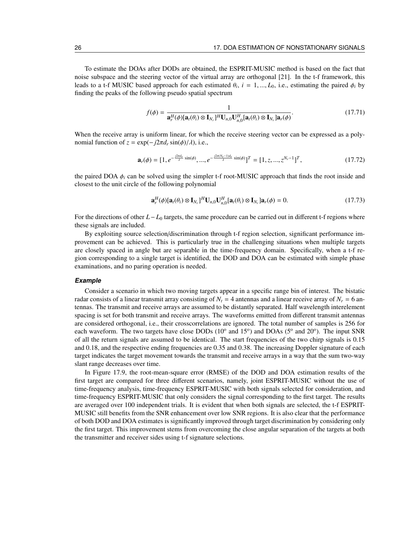To estimate the DOAs after DODs are obtained, the ESPRIT-MUSIC method is based on the fact that noise subspace and the steering vector of the virtual array are orthogonal [21]. In the t-f framework, this leads to a t-f MUSIC based approach for each estimated  $\theta_i$ ,  $i = 1, ..., L_0$ , i.e., estimating the paired  $\phi_i$  by finding the peaks of the following pseudo spatial spectrum

$$
f(\phi) = \frac{1}{\mathbf{a}_r^H(\phi)[\mathbf{a}_t(\theta_i) \otimes \mathbf{I}_{N_r}]^H \mathbf{U}_{n,0} \mathbf{U}_{n,0}^H[\mathbf{a}_t(\theta_i) \otimes \mathbf{I}_{N_r}]\mathbf{a}_r(\phi)}.
$$
(17.71)

When the receive array is uniform linear, for which the receive steering vector can be expressed as a polynomial function of  $z = \exp(-i2\pi d_r \sin(\phi)/\lambda)$ , i.e.,

$$
\mathbf{a}_r(\phi) = [1, e^{-\frac{j2\pi d_r}{\lambda}\sin(\phi)}, ..., e^{-\frac{j2\pi (N_r - 1)d_r}{\lambda}\sin(\phi)}]^T = [1, z, ..., z^{N_r - 1}]^T,
$$
(17.72)

the paired DOA  $\phi_i$  can be solved using the simpler t-f root-MUSIC approach that finds the root inside and closest to the unit circle of the following polynomial

$$
\mathbf{a}_r^H(\phi)[\mathbf{a}_t(\theta_i)\otimes \mathbf{I}_{N_r}]^H \mathbf{U}_{n,0} \mathbf{U}_{n,0}^H[\mathbf{a}_t(\theta_i)\otimes \mathbf{I}_{N_r}]\mathbf{a}_r(\phi) = 0.
$$
 (17.73)

For the directions of other *L*−*L*<sup>0</sup> targets, the same procedure can be carried out in different t-f regions where these signals are included.

By exploiting source selection/discrimination through t-f region selection, significant performance improvement can be achieved. This is particularly true in the challenging situations when multiple targets are closely spaced in angle but are separable in the time-frequency domain. Specifically, when a t-f region corresponding to a single target is identified, the DOD and DOA can be estimated with simple phase examinations, and no paring operation is needed.

#### **Example**

Consider a scenario in which two moving targets appear in a specific range bin of interest. The bistatic radar consists of a linear transmit array consisting of  $N_t = 4$  antennas and a linear receive array of  $N_r = 6$  antennas. The transmit and receive arrays are assumed to be distantly separated. Half wavelength interelement spacing is set for both transmit and receive arrays. The waveforms emitted from different transmit antennas are considered orthogonal, i.e., their crosscorrelations are ignored. The total number of samples is 256 for each waveform. The two targets have close DODs (10<sup>o</sup> and 15<sup>o</sup>) and DOAs (5<sup>o</sup> and 20<sup>o</sup>). The input SNR of all the return signals are assumed to be identical. The start frequencies of the two chirp signals is 0.15 and 0.18, and the respective ending frequencies are 0.35 and 0.38. The increasing Doppler signature of each target indicates the target movement towards the transmit and receive arrays in a way that the sum two-way slant range decreases over time.

In Figure 17.9, the root-mean-square error (RMSE) of the DOD and DOA estimation results of the first target are compared for three different scenarios, namely, joint ESPRIT-MUSIC without the use of time-frequency analysis, time-frequency ESPRIT-MUSIC with both signals selected for consideration, and time-frequency ESPRIT-MUSIC that only considers the signal corresponding to the first target. The results are averaged over 100 independent trials. It is evident that when both signals are selected, the t-f ESPRIT-MUSIC still benefits from the SNR enhancement over low SNR regions. It is also clear that the performance of both DOD and DOA estimates is significantly improved through target discrimination by considering only the first target. This improvement stems from overcoming the close angular separation of the targets at both the transmitter and receiver sides using t-f signature selections.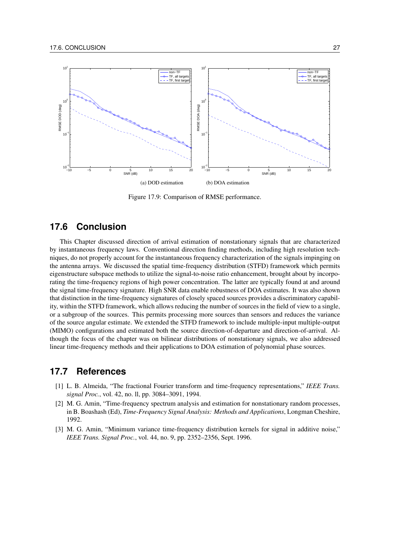

Figure 17.9: Comparison of RMSE performance.

## **17.6 Conclusion**

This Chapter discussed direction of arrival estimation of nonstationary signals that are characterized by instantaneous frequency laws. Conventional direction finding methods, including high resolution techniques, do not properly account for the instantaneous frequency characterization of the signals impinging on the antenna arrays. We discussed the spatial time-frequency distribution (STFD) framework which permits eigenstructure subspace methods to utilize the signal-to-noise ratio enhancement, brought about by incorporating the time-frequency regions of high power concentration. The latter are typically found at and around the signal time-frequency signature. High SNR data enable robustness of DOA estimates. It was also shown that distinction in the time-frequency signatures of closely spaced sources provides a discriminatory capability, within the STFD framework, which allows reducing the number of sources in the field of view to a single, or a subgroup of the sources. This permits processing more sources than sensors and reduces the variance of the source angular estimate. We extended the STFD framework to include multiple-input multiple-output (MIMO) configurations and estimated both the source direction-of-departure and direction-of-arrival. Although the focus of the chapter was on bilinear distributions of nonstationary signals, we also addressed linear time-frequency methods and their applications to DOA estimation of polynomial phase sources.

## **17.7 References**

- [1] L. B. Almeida, "The fractional Fourier transform and time-frequency representations," *IEEE Trans. signal Proc.*, vol. 42, no. ll, pp. 3084–3091, 1994.
- [2] M. G. Amin, "Time-frequency spectrum analysis and estimation for nonstationary random processes, in B. Boashash (Ed), *Time-Frequency Signal Analysis: Methods and Applications*, Longman Cheshire, 1992.
- [3] M. G. Amin, "Minimum variance time-frequency distribution kernels for signal in additive noise," *IEEE Trans. Signal Proc.*, vol. 44, no. 9, pp. 2352–2356, Sept. 1996.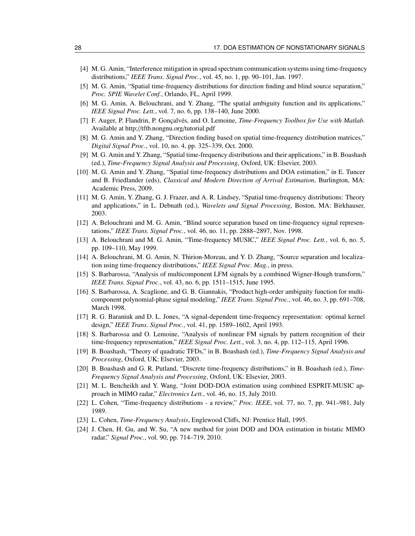- [4] M. G. Amin, "Interference mitigation in spread spectrum communication systems using time-frequency distributions," *IEEE Trans. Signal Proc.*, vol. 45, no. 1, pp. 90–101, Jan. 1997.
- [5] M. G. Amin, "Spatial time-frequency distributions for direction finding and blind source separation," *Proc. SPIE Wavelet Conf.*, Orlando, FL, April 1999.
- [6] M. G. Amin, A. Belouchrani, and Y. Zhang, "The spatial ambiguity function and its applications," *IEEE Signal Proc. Lett.*, vol. 7, no. 6, pp. 138–140, June 2000.
- [7] F. Auger, P. Flandrin, P. Gonçalvés, and O. Lemoine, *Time-Frequency Toolbox for Use with Matlab*. Available at http://tftb.nongnu.org/tutorial.pdf
- [8] M. G. Amin and Y. Zhang, "Direction finding based on spatial time-frequency distribution matrices," *Digital Signal Proc.*, vol. 10, no. 4, pp. 325–339, Oct. 2000.
- [9] M. G. Amin and Y. Zhang, "Spatial time-frequency distributions and their applications," in B. Boashash (ed.), *Time-Frequency Signal Analysis and Processing*, Oxford, UK: Elsevier, 2003.
- [10] M. G. Amin and Y. Zhang, "Spatial time-frequency distributions and DOA estimation," in E. Tuncer and B. Friedlander (eds), *Classical and Modern Direction of Arrival Estimation*, Burlington, MA: Academic Press, 2009.
- [11] M. G. Amin, Y. Zhang, G. J. Frazer, and A. R. Lindsey, "Spatial time-frequency distributions: Theory and applications," in L. Debnath (ed.), *Wavelets and Signal Processing*, Boston, MA: Birkhauser, 2003.
- [12] A. Belouchrani and M. G. Amin, "Blind source separation based on time-frequency signal representations," *IEEE Trans. Signal Proc.*, vol. 46, no. 11, pp. 2888–2897, Nov. 1998.
- [13] A. Belouchrani and M. G. Amin, "Time-frequency MUSIC," *IEEE Signal Proc. Lett.*, vol. 6, no. 5, pp. 109–110, May 1999.
- [14] A. Belouchrani, M. G. Amin, N. Thirion-Moreau, and Y. D. Zhang, "Source separation and localization using time-frequency distributions," *IEEE Signal Proc. Mag.*, in press.
- [15] S. Barbarossa, "Analysis of multicomponent LFM signals by a combined Wigner-Hough transform," *IEEE Trans. Signal Proc.*, vol. 43, no. 6, pp. 1511–1515, June 1995.
- [16] S. Barbarossa, A. Scaglione, and G. B. Giannakis, "Product high-order ambiguity function for multicomponent polynomial-phase signal modeling," *IEEE Trans. Signal Proc.*, vol. 46, no. 3, pp. 691–708, March 1998.
- [17] R. G. Baraniuk and D. L. Jones, "A signal-dependent time-frequency representation: optimal kernel design," *IEEE Trans. Signal Proc.*, vol. 41, pp. 1589–1602, April 1993.
- [18] S. Barbarossa and O. Lemoine, "Analysis of nonlinear FM signals by pattern recognition of their time-frequency representation," *IEEE Signal Proc. Lett.*, vol. 3, no. 4, pp. 112–115, April 1996.
- [19] B. Boashash, "Theory of quadratic TFDs," in B. Boashash (ed.), *Time-Frequency Signal Analysis and Processing*, Oxford, UK: Elsevier, 2003.
- [20] B. Boashash and G. R. Putland, "Discrete time-frequency distributions," in B. Boashash (ed.), *Time-Frequency Signal Analysis and Processing*, Oxford, UK: Elsevier, 2003.
- [21] M. L. Bencheikh and Y. Wang, "Joint DOD-DOA estimation using combined ESPRIT-MUSIC approach in MIMO radar," *Electronics Lett.*, vol. 46, no. 15, July 2010.
- [22] L. Cohen, "Time-frequency distributions a review," *Proc. IEEE*, vol. 77, no. 7, pp. 941–981, July 1989.
- [23] L. Cohen, *Time-Frequency Analysis*, Englewood Cliffs, NJ: Prentice Hall, 1995.
- [24] J. Chen, H. Gu, and W. Su, "A new method for joint DOD and DOA estimation in bistatic MIMO radar," *Signal Proc.*, vol. 90, pp. 714–719, 2010.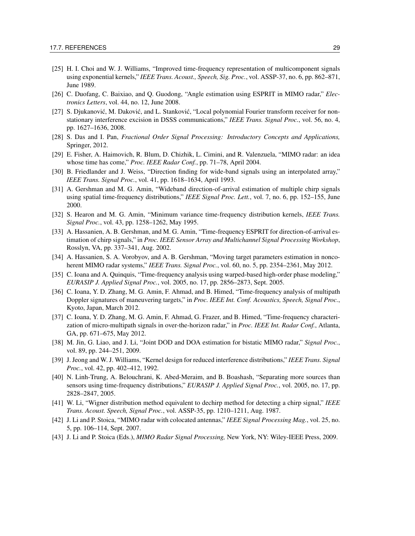- [25] H. I. Choi and W. J. Williams, "Improved time-frequency representation of multicomponent signals using exponential kernels," *IEEE Trans. Acoust., Speech, Sig. Proc.*, vol. ASSP-37, no. 6, pp. 862–871, June 1989.
- [26] C. Duofang, C. Baixiao, and Q. Guodong, "Angle estimation using ESPRIT in MIMO radar," *Electronics Letters*, vol. 44, no. 12, June 2008.
- [27] S. Djukanović, M. Daković, and L. Stanković, "Local polynomial Fourier transform receiver for nonstationary interference excision in DSSS communications," *IEEE Trans. Signal Proc.*, vol. 56, no. 4, pp. 1627–1636, 2008.
- [28] S. Das and I. Pan, *Fractional Order Signal Processing: Introductory Concepts and Applications,* Springer, 2012.
- [29] E. Fisher, A. Haimovich, R. Blum, D. Chizhik, L. Cimini, and R. Valenzuela, "MIMO radar: an idea whose time has come," *Proc. IEEE Radar Conf.*, pp. 71–78, April 2004.
- [30] B. Friedlander and J. Weiss, "Direction finding for wide-band signals using an interpolated array," *IEEE Trans. Signal Proc.*, vol. 41, pp. 1618–1634, April 1993.
- [31] A. Gershman and M. G. Amin, "Wideband direction-of-arrival estimation of multiple chirp signals using spatial time-frequency distributions," *IEEE Signal Proc. Lett.*, vol. 7, no. 6, pp. 152–155, June 2000.
- [32] S. Hearon and M. G. Amin, "Minimum variance time-frequency distribution kernels, *IEEE Trans. Signal Proc.*, vol. 43, pp. 1258–1262, May 1995.
- [33] A. Hassanien, A. B. Gershman, and M. G. Amin, "Time-frequency ESPRIT for direction-of-arrival estimation of chirp signals," in *Proc. IEEE Sensor Array and Multichannel Signal Processing Workshop*, Rosslyn, VA, pp. 337–341, Aug. 2002.
- [34] A. Hassanien, S. A. Vorobyov, and A. B. Gershman, "Moving target parameters estimation in noncoherent MIMO radar systems," *IEEE Trans. Signal Proc.*, vol. 60, no. 5, pp. 2354–2361, May 2012.
- [35] C. Ioana and A. Quinquis, "Time-frequency analysis using warped-based high-order phase modeling," *EURASIP J. Applied Signal Proc.*, vol. 2005, no. 17, pp. 2856–2873, Sept. 2005.
- [36] C. Ioana, Y. D. Zhang, M. G. Amin, F. Ahmad, and B. Himed, "Time-frequency analysis of multipath Doppler signatures of maneuvering targets," in *Proc. IEEE Int. Conf. Acoustics, Speech, Signal Proc.*, Kyoto, Japan, March 2012.
- [37] C. Ioana, Y. D. Zhang, M. G. Amin, F. Ahmad, G. Frazer, and B. Himed, "Time-frequency characterization of micro-multipath signals in over-the-horizon radar," in *Proc. IEEE Int. Radar Conf.*, Atlanta, GA, pp. 671–675, May 2012.
- [38] M. Jin, G. Liao, and J. Li, "Joint DOD and DOA estimation for bistatic MIMO radar," *Signal Proc.*, vol. 89, pp. 244–251, 2009.
- [39] J. Jeong and W. J. Williams, "Kernel design for reduced interference distributions," *IEEE Trans. Signal Proc.*, vol. 42, pp. 402–412, 1992.
- [40] N. Linh-Trung, A. Belouchrani, K. Abed-Meraim, and B. Boashash, "Separating more sources than sensors using time-frequency distributions," *EURASIP J. Applied Signal Proc.*, vol. 2005, no. 17, pp. 2828–2847, 2005.
- [41] W. Li, "Wigner distribution method equivalent to dechirp method for detecting a chirp signal," *IEEE Trans. Acoust. Speech, Signal Proc.*, vol. ASSP-35, pp. 1210–1211, Aug. 1987.
- [42] J. Li and P. Stoica, "MIMO radar with colocated antennas," *IEEE Signal Processing Mag.*, vol. 25, no. 5, pp. 106–114, Sept. 2007.
- [43] J. Li and P. Stoica (Eds.), *MIMO Radar Signal Processing,* New York, NY: Wiley-IEEE Press, 2009.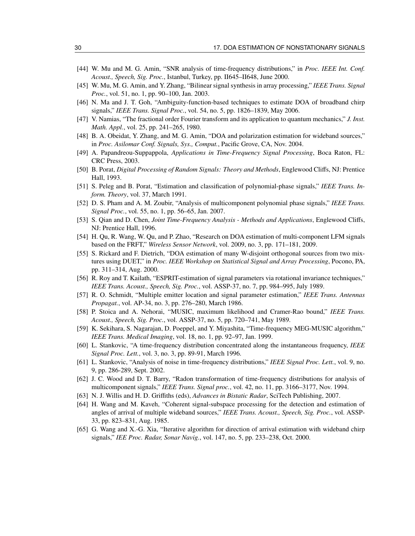- [44] W. Mu and M. G. Amin, "SNR analysis of time-frequency distributions," in *Proc. IEEE Int. Conf. Acoust., Speech, Sig. Proc.*, Istanbul, Turkey, pp. II645–II648, June 2000.
- [45] W. Mu, M. G. Amin, and Y. Zhang, "Bilinear signal synthesis in array processing," *IEEE Trans. Signal Proc.*, vol. 51, no. 1, pp. 90–100, Jan. 2003.
- [46] N. Ma and J. T. Goh, "Ambiguity-function-based techniques to estimate DOA of broadband chirp signals," *IEEE Trans. Signal Proc.*, vol. 54, no. 5, pp. 1826–1839, May 2006.
- [47] V. Namias, "The fractional order Fourier transform and its application to quantum mechanics," *J. Inst. Math. Appl.*, vol. 25, pp. 241–265, 1980.
- [48] B. A. Obeidat, Y. Zhang, and M. G. Amin, "DOA and polarization estimation for wideband sources," in *Proc. Asilomar Conf. Signals, Sys., Comput.*, Pacific Grove, CA, Nov. 2004.
- [49] A. Papandreou-Suppappola, *Applications in Time-Frequency Signal Processing*, Boca Raton, FL: CRC Press, 2003.
- [50] B. Porat, *Digital Processing of Random Signals: Theory and Methods*, Englewood Cliffs, NJ: Prentice Hall, 1993.
- [51] S. Peleg and B. Porat, "Estimation and classification of polynomial-phase signals," *IEEE Trans. Inform. Theory*, vol. 37, March 1991.
- [52] D. S. Pham and A. M. Zoubir, "Analysis of multicomponent polynomial phase signals," *IEEE Trans. Signal Proc.*, vol. 55, no. 1, pp. 56–65, Jan. 2007.
- [53] S. Qian and D. Chen, *Joint Time-Frequency Analysis Methods and Applications*, Englewood Cliffs, NJ: Prentice Hall, 1996.
- [54] H. Qu, R. Wang, W. Qu, and P. Zhao, "Research on DOA estimation of multi-component LFM signals based on the FRFT," *Wireless Sensor Network*, vol. 2009, no. 3, pp. 171–181, 2009.
- [55] S. Rickard and F. Dietrich, "DOA estimation of many W-disjoint orthogonal sources from two mixtures using DUET," in *Proc. IEEE Workshop on Statistical Signal and Array Processing*, Pocono, PA, pp. 311–314, Aug. 2000.
- [56] R. Roy and T. Kailath, "ESPRIT-estimation of signal parameters via rotational invariance techniques," *IEEE Trans. Acoust., Speech, Sig. Proc.*, vol. ASSP-37, no. 7, pp. 984–995, July 1989.
- [57] R. O. Schmidt, "Multiple emitter location and signal parameter estimation," *IEEE Trans. Antennas Propagat.*, vol. AP-34, no. 3, pp. 276–280, March 1986.
- [58] P. Stoica and A. Nehorai, "MUSIC, maximum likelihood and Cramer-Rao bound," *IEEE Trans. Acoust., Speech, Sig. Proc.*, vol. ASSP-37, no. 5, pp. 720–741, May 1989.
- [59] K. Sekihara, S. Nagarajan, D. Poeppel, and Y. Miyashita, "Time-frequency MEG-MUSIC algorithm," *IEEE Trans. Medical Imaging*, vol. 18, no. 1, pp. 92–97, Jan. 1999.
- [60] L. Stankovic, "A time-frequency distribution concentrated along the instantaneous frequency, *IEEE Signal Proc. Lett.*, vol. 3, no. 3, pp. 89-91, March 1996.
- [61] L. Stankovic, "Analysis of noise in time-frequency distributions," *IEEE Signal Proc. Lett.*, vol. 9, no. 9, pp. 286-289, Sept. 2002.
- [62] J. C. Wood and D. T. Barry, "Radon transformation of time-frequency distributions for analysis of multicomponent signals," *IEEE Trans. Signal proc.*, vol. 42, no. 11, pp. 3166–3177, Nov. 1994.
- [63] N. J. Willis and H. D. Griffiths (eds), *Advances in Bistatic Radar*, SciTech Publishing, 2007.
- [64] H. Wang and M. Kaveh, "Coherent signal-subspace processing for the detection and estimation of angles of arrival of multiple wideband sources," *IEEE Trans. Acoust., Speech, Sig. Proc.*, vol. ASSP-33, pp. 823–831, Aug. 1985.
- [65] G. Wang and X.-G. Xia, "Iterative algorithm for direction of arrival estimation with wideband chirp signals," *IEE Proc. Radar, Sonar Navig.*, vol. 147, no. 5, pp. 233–238, Oct. 2000.